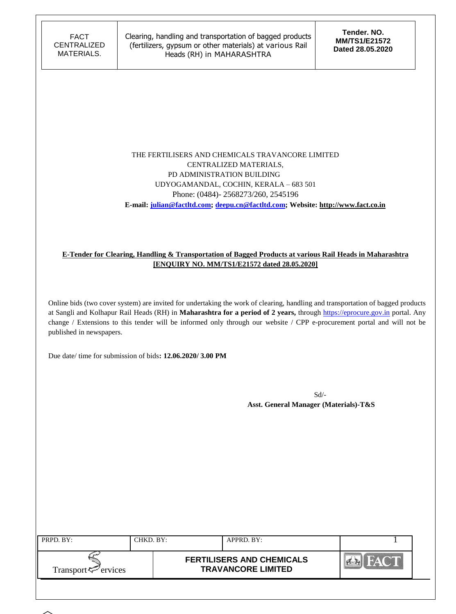### THE FERTILISERS AND CHEMICALS TRAVANCORE LIMITED CENTRALIZED MATERIALS, PD ADMINISTRATION BUILDING UDYOGAMANDAL, COCHIN, KERALA – 683 501 Phone: (0484)- 2568273/260, 2545196  **E-mail: [julian@factltd.com;](mailto:julian@factltd.com) deepu.cn@factltd.com; Website: [http://www.fact.co.in](http://www.fact.co.in/)**

### **E-Tender for Clearing, Handling & Transportation of Bagged Products at various Rail Heads in Maharashtra [ENQUIRY NO. MM/TS1/E21572 dated 28.05.2020]**

Online bids (two cover system) are invited for undertaking the work of clearing, handling and transportation of bagged products at Sangli and Kolhapur Rail Heads (RH) in **Maharashtra for a period of 2 years,** through [https://eprocure.gov.in](https://eprocure.gov.in/) portal. Any change / Extensions to this tender will be informed only through our website / CPP e-procurement portal and will not be published in newspapers.

Due date/ time for submission of bids**: 12.06.2020/ 3.00 PM**

Sd/-  **Asst. General Manager (Materials)-T&S**

| PRPD. BY:                      | CHKD. BY: | APPRD. BY:                                                    |  |
|--------------------------------|-----------|---------------------------------------------------------------|--|
| Transport <sup>7</sup> ervices |           | <b>FERTILISERS AND CHEMICALS</b><br><b>TRAVANCORE LIMITED</b> |  |
|                                |           |                                                               |  |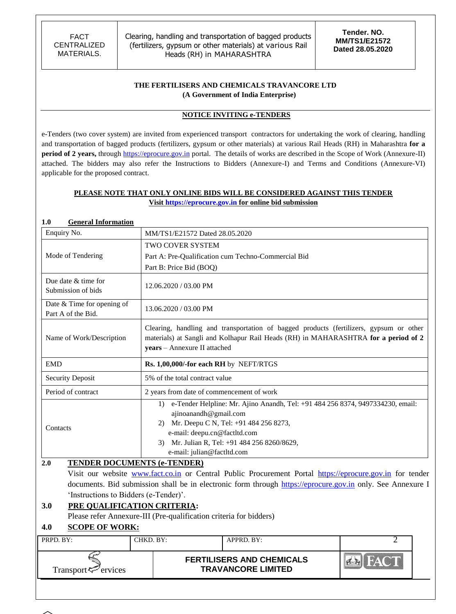### **THE FERTILISERS AND CHEMICALS TRAVANCORE LTD (A Government of India Enterprise)**

### **NOTICE INVITING e-TENDERS**

e-Tenders (two cover system) are invited from experienced transport contractors for undertaking the work of clearing, handling and transportation of bagged products (fertilizers, gypsum or other materials) at various Rail Heads (RH) in Maharashtra **for a period of 2 years,** through [https://eprocure.gov.in](https://eprocure.gov.in/) portal. The details of works are described in the Scope of Work (Annexure-II) attached. The bidders may also refer the Instructions to Bidders (Annexure-I) and Terms and Conditions (Annexure-VI) applicable for the proposed contract.

### **PLEASE NOTE THAT ONLY ONLINE BIDS WILL BE CONSIDERED AGAINST THIS TENDER Visit [https://eprocure.gov.in](https://eprocure.gov.in/) for online bid submission**

### **1.0 General Information**

| Enquiry No.                                      | MM/TS1/E21572 Dated 28.05.2020                                     |                                                                                                                                                                                                                                                                   |   |  |  |  |  |
|--------------------------------------------------|--------------------------------------------------------------------|-------------------------------------------------------------------------------------------------------------------------------------------------------------------------------------------------------------------------------------------------------------------|---|--|--|--|--|
|                                                  |                                                                    | <b>TWO COVER SYSTEM</b>                                                                                                                                                                                                                                           |   |  |  |  |  |
| Mode of Tendering                                |                                                                    | Part A: Pre-Qualification cum Techno-Commercial Bid                                                                                                                                                                                                               |   |  |  |  |  |
|                                                  |                                                                    | Part B: Price Bid (BOQ)                                                                                                                                                                                                                                           |   |  |  |  |  |
| Due date & time for<br>Submission of bids        |                                                                    | 12.06.2020 / 03.00 PM                                                                                                                                                                                                                                             |   |  |  |  |  |
| Date & Time for opening of<br>Part A of the Bid. |                                                                    | 13.06.2020 / 03.00 PM                                                                                                                                                                                                                                             |   |  |  |  |  |
| Name of Work/Description                         |                                                                    | Clearing, handling and transportation of bagged products (fertilizers, gypsum or other<br>materials) at Sangli and Kolhapur Rail Heads (RH) in MAHARASHTRA for a period of 2<br>years - Annexure II attached                                                      |   |  |  |  |  |
| <b>EMD</b>                                       |                                                                    | Rs. 1,00,000/-for each RH by NEFT/RTGS                                                                                                                                                                                                                            |   |  |  |  |  |
| <b>Security Deposit</b>                          | 5% of the total contract value                                     |                                                                                                                                                                                                                                                                   |   |  |  |  |  |
| Period of contract                               |                                                                    | 2 years from date of commencement of work                                                                                                                                                                                                                         |   |  |  |  |  |
| Contacts                                         | 3)                                                                 | 1) e-Tender Helpline: Mr. Ajino Anandh, Tel: +91 484 256 8374, 9497334230, email:<br>ajinoanandh@gmail.com<br>2) Mr. Deepu C N, Tel: +91 484 256 8273,<br>e-mail: deepu.cn@factltd.com<br>Mr. Julian R, Tel: +91 484 256 8260/8629,<br>e-mail: julian@factltd.com |   |  |  |  |  |
| 2.0                                              | <b>TENDER DOCUMENTS (e-TENDER)</b>                                 |                                                                                                                                                                                                                                                                   |   |  |  |  |  |
|                                                  |                                                                    | Visit our website www.fact.co.in or Central Public Procurement Portal https://eprocure.gov.in for tender                                                                                                                                                          |   |  |  |  |  |
|                                                  |                                                                    | documents. Bid submission shall be in electronic form through https://eprocure.gov.in only. See Annexure I                                                                                                                                                        |   |  |  |  |  |
| 'Instructions to Bidders (e-Tender)'.            |                                                                    |                                                                                                                                                                                                                                                                   |   |  |  |  |  |
| 3.0<br>PRE QUALIFICATION CRITERIA:               |                                                                    |                                                                                                                                                                                                                                                                   |   |  |  |  |  |
| <b>SCOPE OF WORK:</b><br>4.0                     | Please refer Annexure-III (Pre-qualification criteria for bidders) |                                                                                                                                                                                                                                                                   |   |  |  |  |  |
| PRPD. BY:                                        | CHKD. BY:                                                          | APPRD. BY:                                                                                                                                                                                                                                                        | 2 |  |  |  |  |
|                                                  |                                                                    |                                                                                                                                                                                                                                                                   |   |  |  |  |  |
| Transport <sup>r</sup> / <sub>ervices</sub>      |                                                                    | <b>FERTILISERS AND CHEMICALS</b><br><b>TRAVANCORE LIMITED</b>                                                                                                                                                                                                     |   |  |  |  |  |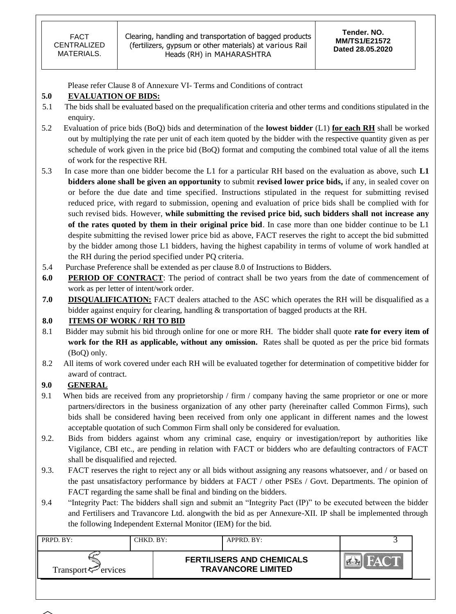Clearing, handling and transportation of bagged products (fertilizers, gypsum or other materials) at various Rail Heads (RH) in MAHARASHTRA

Please refer Clause 8 of Annexure VI- Terms and Conditions of contract

### **5.0 EVALUATION OF BIDS:**

- 5.1 The bids shall be evaluated based on the prequalification criteria and other terms and conditions stipulated in the enquiry.
- 5.2 Evaluation of price bids (BoQ) bids and determination of the **lowest bidder** (L1) **for each RH** shall be worked out by multiplying the rate per unit of each item quoted by the bidder with the respective quantity given as per schedule of work given in the price bid (BoQ) format and computing the combined total value of all the items of work for the respective RH.
- 5.3 In case more than one bidder become the L1 for a particular RH based on the evaluation as above, such **L1 bidders alone shall be given an opportunity** to submit **revised lower price bids,** if any, in sealed cover on or before the due date and time specified. Instructions stipulated in the request for submitting revised reduced price, with regard to submission, opening and evaluation of price bids shall be complied with for such revised bids. However, **while submitting the revised price bid, such bidders shall not increase any of the rates quoted by them in their original price bid**. In case more than one bidder continue to be L1 despite submitting the revised lower price bid as above, FACT reserves the right to accept the bid submitted by the bidder among those L1 bidders, having the highest capability in terms of volume of work handled at the RH during the period specified under PQ criteria.
- 5.4 Purchase Preference shall be extended as per clause 8.0 of Instructions to Bidders.
- **6.0 PERIOD OF CONTRACT**: The period of contract shall be two years from the date of commencement of work as per letter of intent/work order.
- **7.0 DISQUALIFICATION:** FACT dealers attached to the ASC which operates the RH will be disqualified as a bidder against enquiry for clearing, handling & transportation of bagged products at the RH.

### **8.0 ITEMS OF WORK / RH TO BID**

- 8.1 Bidder may submit his bid through online for one or more RH. The bidder shall quote **rate for every item of work for the RH as applicable, without any omission.** Rates shall be quoted as per the price bid formats (BoQ) only.
- 8.2 All items of work covered under each RH will be evaluated together for determination of competitive bidder for award of contract.

## **9.0 GENERAL**

- 9.1 When bids are received from any proprietorship / firm / company having the same proprietor or one or more partners/directors in the business organization of any other party (hereinafter called Common Firms), such bids shall be considered having been received from only one applicant in different names and the lowest acceptable quotation of such Common Firm shall only be considered for evaluation.
- 9.2. Bids from bidders against whom any criminal case, enquiry or investigation/report by authorities like Vigilance, CBI etc., are pending in relation with FACT or bidders who are defaulting contractors of FACT shall be disqualified and rejected.
- 9.3. FACT reserves the right to reject any or all bids without assigning any reasons whatsoever, and / or based on the past unsatisfactory performance by bidders at FACT / other PSEs / Govt. Departments. The opinion of FACT regarding the same shall be final and binding on the bidders.
- 9.4 "Integrity Pact: The bidders shall sign and submit an "Integrity Pact (IP)" to be executed between the bidder and Fertilisers and Travancore Ltd. alongwith the bid as per Annexure-XII. IP shall be implemented through the following Independent External Monitor (IEM) for the bid.

| PRPD. BY:                                      | CHKD. BY: | $APPRD$ . BY:                                                 |  |
|------------------------------------------------|-----------|---------------------------------------------------------------|--|
| Transport <sup><math>\leq</math></sup> ervices |           | <b>FERTILISERS AND CHEMICALS</b><br><b>TRAVANCORE LIMITED</b> |  |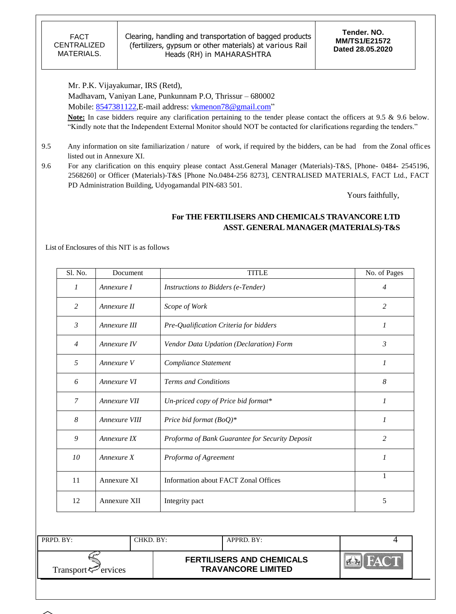Mr. P.K. Vijayakumar, IRS (Retd), Madhavam, Vaniyan Lane, Punkunnam P.O, Thrissur – 680002 Mobile: [8547381122,](callto:8547381122) E-mail address: [vkmenon78@gmail.com"](mailto:vkmenon78@gmail.com)

**Note:** In case bidders require any clarification pertaining to the tender please contact the officers at 9.5 & 9.6 below. "Kindly note that the Independent External Monitor should NOT be contacted for clarifications regarding the tenders."

- 9.5 Any information on site familiarization / nature of work, if required by the bidders, can be had from the Zonal offices listed out in Annexure XI.
- 9.6 For any clarification on this enquiry please contact Asst.General Manager (Materials)-T&S, [Phone- 0484- 2545196, 2568260] or Officer (Materials)-T&S [Phone No.0484-256 8273], CENTRALISED MATERIALS, FACT Ltd., FACT PD Administration Building, Udyogamandal PIN-683 501.

Yours faithfully,

# **For THE FERTILISERS AND CHEMICALS TRAVANCORE LTD ASST. GENERAL MANAGER (MATERIALS)-T&S**

List of Enclosures of this NIT is as follows

| Sl. No.        | Document      | <b>TITLE</b>                                    | No. of Pages |
|----------------|---------------|-------------------------------------------------|--------------|
| $\mathcal{I}$  | Annexure I    | Instructions to Bidders (e-Tender)              | 4            |
| 2              | Annexure II   | Scope of Work                                   | 2            |
| $\mathfrak{Z}$ | Annexure III  | Pre-Qualification Criteria for bidders          | 1            |
| $\overline{4}$ | Annexure IV   | Vendor Data Updation (Declaration) Form         | 3            |
| 5              | Annexure V    | Compliance Statement                            | 1            |
| 6              | Annexure VI   | <b>Terms and Conditions</b>                     | 8            |
| $\overline{7}$ | Annexure VII  | Un-priced copy of Price bid format*             | 1            |
| 8              | Annexure VIII | Price bid format $(BoQ)^*$                      | 1            |
| 9              | Annexure IX   | Proforma of Bank Guarantee for Security Deposit | 2            |
| 10             | Annexure X    | Proforma of Agreement                           | 1            |
| 11             | Annexure XI   | <b>Information about FACT Zonal Offices</b>     | 1            |
| 12             | Annexure XII  | Integrity pact                                  | 5            |

| PRPD. BY:                      | CHKD. BY: | $APPRD$ . BY:                                                 |  |
|--------------------------------|-----------|---------------------------------------------------------------|--|
| Transport <sup>7</sup> ervices |           | <b>FERTILISERS AND CHEMICALS</b><br><b>TRAVANCORE LIMITED</b> |  |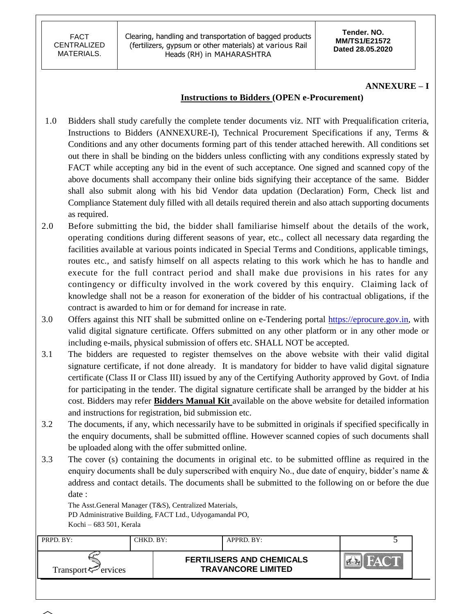**Tender. NO. MM/TS1/E21572 Dated 28.05.2020**

### **ANNEXURE – I**

### **Instructions to Bidders (OPEN e-Procurement)**

- 1.0 Bidders shall study carefully the complete tender documents viz. NIT with Prequalification criteria, Instructions to Bidders (ANNEXURE-I), Technical Procurement Specifications if any, Terms & Conditions and any other documents forming part of this tender attached herewith. All conditions set out there in shall be binding on the bidders unless conflicting with any conditions expressly stated by FACT while accepting any bid in the event of such acceptance. One signed and scanned copy of the above documents shall accompany their online bids signifying their acceptance of the same. Bidder shall also submit along with his bid Vendor data updation (Declaration) Form, Check list and Compliance Statement duly filled with all details required therein and also attach supporting documents as required.
- 2.0 Before submitting the bid, the bidder shall familiarise himself about the details of the work, operating conditions during different seasons of year, etc., collect all necessary data regarding the facilities available at various points indicated in Special Terms and Conditions, applicable timings, routes etc., and satisfy himself on all aspects relating to this work which he has to handle and execute for the full contract period and shall make due provisions in his rates for any contingency or difficulty involved in the work covered by this enquiry. Claiming lack of knowledge shall not be a reason for exoneration of the bidder of his contractual obligations, if the contract is awarded to him or for demand for increase in rate.
- 3.0 Offers against this NIT shall be submitted online on e-Tendering portal [https://eprocure.gov.in,](https://eprocure.gov.in/) with valid digital signature certificate. Offers submitted on any other platform or in any other mode or including e-mails, physical submission of offers etc. SHALL NOT be accepted.
- 3.1 The bidders are requested to register themselves on the above website with their valid digital signature certificate, if not done already. It is mandatory for bidder to have valid digital signature certificate (Class II or Class III) issued by any of the Certifying Authority approved by Govt. of India for participating in the tender. The digital signature certificate shall be arranged by the bidder at his cost. Bidders may refer **Bidders Manual Kit** available on the above website for detailed information and instructions for registration, bid submission etc.
- 3.2 The documents, if any, which necessarily have to be submitted in originals if specified specifically in the enquiry documents, shall be submitted offline. However scanned copies of such documents shall be uploaded along with the offer submitted online.
- 3.3 The cover (s) containing the documents in original etc. to be submitted offline as required in the enquiry documents shall be duly superscribed with enquiry No., due date of enquiry, bidder's name  $\&$ address and contact details. The documents shall be submitted to the following on or before the due date :

The Asst.General Manager (T&S), Centralized Materials, PD Administrative Building, FACT Ltd., Udyogamandal PO, Kochi – 683 501, Kerala

| PRPD. BY:                | CHKD, BY: | APPRD. BY:                                                    |  |
|--------------------------|-----------|---------------------------------------------------------------|--|
| Transport $\leq$ ervices |           | <b>FERTILISERS AND CHEMICALS</b><br><b>TRAVANCORE LIMITED</b> |  |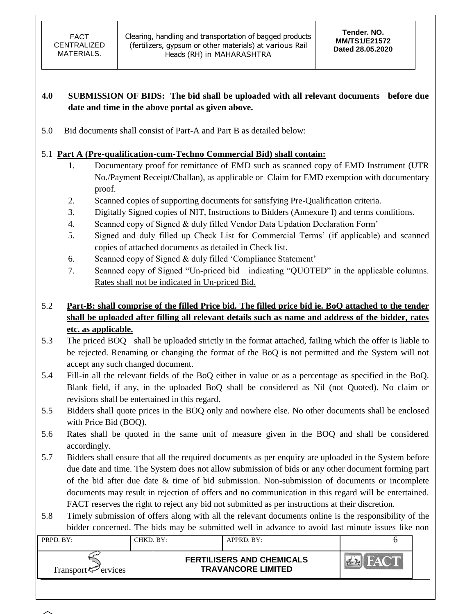# **4.0 SUBMISSION OF BIDS: The bid shall be uploaded with all relevant documents before due date and time in the above portal as given above.**

5.0 Bid documents shall consist of Part-A and Part B as detailed below:

# 5.1 **Part A (Pre-qualification-cum-Techno Commercial Bid) shall contain:**

- 1. Documentary proof for remittance of EMD such as scanned copy of EMD Instrument (UTR No./Payment Receipt/Challan), as applicable or Claim for EMD exemption with documentary proof.
- 2. Scanned copies of supporting documents for satisfying Pre-Qualification criteria.
- 3. Digitally Signed copies of NIT, Instructions to Bidders (Annexure I) and terms conditions.
- 4. Scanned copy of Signed & duly filled Vendor Data Updation Declaration Form"
- 5. Signed and duly filled up Check List for Commercial Terms" (if applicable) and scanned copies of attached documents as detailed in Check list.
- 6. Scanned copy of Signed & duly filled "Compliance Statement"
- 7. Scanned copy of Signed "Un-priced bid indicating "QUOTED" in the applicable columns. Rates shall not be indicated in Un-priced Bid.

# 5.2 **Part-B: shall comprise of the filled Price bid. The filled price bid ie. BoQ attached to the tender shall be uploaded after filling all relevant details such as name and address of the bidder, rates etc. as applicable.**

- 5.3 The priced BOQ shall be uploaded strictly in the format attached, failing which the offer is liable to be rejected. Renaming or changing the format of the BoQ is not permitted and the System will not accept any such changed document.
- 5.4 Fill-in all the relevant fields of the BoQ either in value or as a percentage as specified in the BoQ. Blank field, if any, in the uploaded BoQ shall be considered as Nil (not Quoted). No claim or revisions shall be entertained in this regard.
- 5.5 Bidders shall quote prices in the BOQ only and nowhere else. No other documents shall be enclosed with Price Bid (BOQ).
- 5.6 Rates shall be quoted in the same unit of measure given in the BOQ and shall be considered accordingly.
- 5.7 Bidders shall ensure that all the required documents as per enquiry are uploaded in the System before due date and time. The System does not allow submission of bids or any other document forming part of the bid after due date & time of bid submission. Non-submission of documents or incomplete documents may result in rejection of offers and no communication in this regard will be entertained. FACT reserves the right to reject any bid not submitted as per instructions at their discretion.
- 5.8 Timely submission of offers along with all the relevant documents online is the responsibility of the bidder concerned. The bids may be submitted well in advance to avoid last minute issues like non

| PRPD. BY:                      | CHKD. BY: | $APPRD$ $BY:$                                                 |  |
|--------------------------------|-----------|---------------------------------------------------------------|--|
| Transport <sup>7</sup> ervices |           | <b>FERTILISERS AND CHEMICALS</b><br><b>TRAVANCORE LIMITED</b> |  |

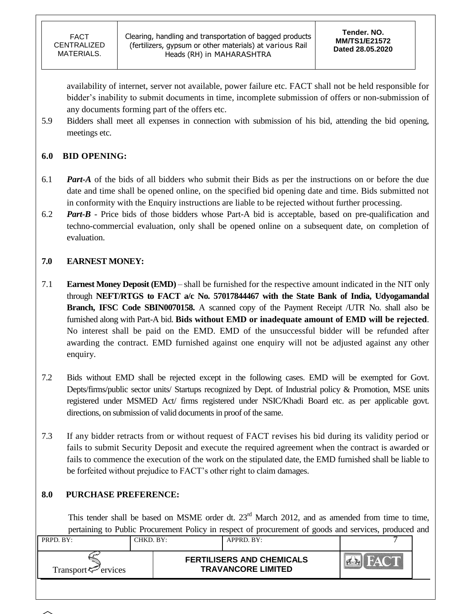availability of internet, server not available, power failure etc. FACT shall not be held responsible for bidder"s inability to submit documents in time, incomplete submission of offers or non-submission of any documents forming part of the offers etc.

5.9 Bidders shall meet all expenses in connection with submission of his bid, attending the bid opening, meetings etc.

# **6.0 BID OPENING:**

- 6.1 *Part-A* of the bids of all bidders who submit their Bids as per the instructions on or before the due date and time shall be opened online, on the specified bid opening date and time. Bids submitted not in conformity with the Enquiry instructions are liable to be rejected without further processing.
- 6.2 *Part-B* Price bids of those bidders whose Part-A bid is acceptable, based on pre-qualification and techno-commercial evaluation, only shall be opened online on a subsequent date, on completion of evaluation.

# **7.0 EARNEST MONEY:**

- 7.1 **Earnest Money Deposit (EMD)** shall be furnished for the respective amount indicated in the NIT only through **NEFT/RTGS to FACT a/c No. 57017844467 with the State Bank of India, Udyogamandal Branch, IFSC Code SBIN0070158.** A scanned copy of the Payment Receipt /UTR No. shall also be furnished along with Part-A bid. **Bids without EMD or inadequate amount of EMD will be rejected**. No interest shall be paid on the EMD. EMD of the unsuccessful bidder will be refunded after awarding the contract. EMD furnished against one enquiry will not be adjusted against any other enquiry.
- 7.2 Bids without EMD shall be rejected except in the following cases. EMD will be exempted for Govt. Depts/firms/public sector units/ Startups recognized by Dept. of Industrial policy & Promotion, MSE units registered under MSMED Act/ firms registered under NSIC/Khadi Board etc. as per applicable govt. directions, on submission of valid documents in proof of the same.
- 7.3 If any bidder retracts from or without request of FACT revises his bid during its validity period or fails to submit Security Deposit and execute the required agreement when the contract is awarded or fails to commence the execution of the work on the stipulated date, the EMD furnished shall be liable to be forfeited without prejudice to FACT's other right to claim damages.

# **8.0 PURCHASE PREFERENCE:**

This tender shall be based on MSME order dt.  $23<sup>rd</sup>$  March 2012, and as amended from time to time, pertaining to Public Procurement Policy in respect of procurement of goods and services, produced and

| PRPD. BY:                       | CHKD. BY: | APPRD. BY:                                                    |  |
|---------------------------------|-----------|---------------------------------------------------------------|--|
| Transport <sup>ry</sup> ervices |           | <b>FERTILISERS AND CHEMICALS</b><br><b>TRAVANCORE LIMITED</b> |  |

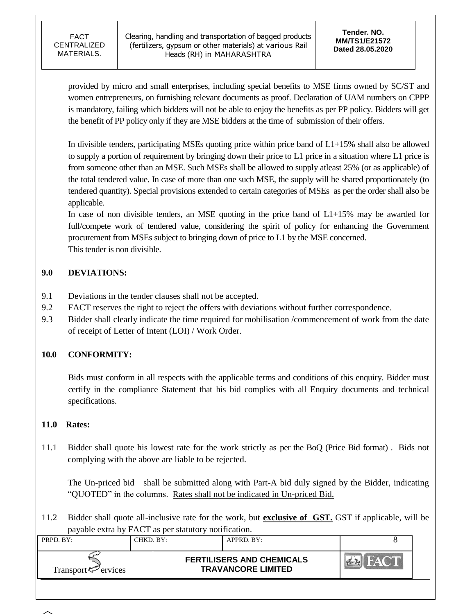Clearing, handling and transportation of bagged products (fertilizers, gypsum or other materials) at various Rail Heads (RH) in MAHARASHTRA

provided by micro and small enterprises, including special benefits to MSE firms owned by SC/ST and women entrepreneurs, on furnishing relevant documents as proof. Declaration of UAM numbers on CPPP is mandatory, failing which bidders will not be able to enjoy the benefits as per PP policy. Bidders will get the benefit of PP policy only if they are MSE bidders at the time of submission of their offers.

In divisible tenders, participating MSEs quoting price within price band of L1+15% shall also be allowed to supply a portion of requirement by bringing down their price to L1 price in a situation where L1 price is from someone other than an MSE. Such MSEs shall be allowed to supply atleast 25% (or as applicable) of the total tendered value. In case of more than one such MSE, the supply will be shared proportionately (to tendered quantity). Special provisions extended to certain categories of MSEs as per the order shall also be applicable.

In case of non divisible tenders, an MSE quoting in the price band of  $L1+15%$  may be awarded for full/compete work of tendered value, considering the spirit of policy for enhancing the Government procurement from MSEs subject to bringing down of price to L1 by the MSE concerned. This tender is non divisible.

# **9.0 DEVIATIONS:**

- 9.1 Deviations in the tender clauses shall not be accepted.
- 9.2 FACT reserves the right to reject the offers with deviations without further correspondence.
- 9.3 Bidder shall clearly indicate the time required for mobilisation /commencement of work from the date of receipt of Letter of Intent (LOI) / Work Order.

# **10.0 CONFORMITY:**

Bids must conform in all respects with the applicable terms and conditions of this enquiry. Bidder must certify in the compliance Statement that his bid complies with all Enquiry documents and technical specifications.

## **11.0 Rates:**

11.1 Bidder shall quote his lowest rate for the work strictly as per the BoQ (Price Bid format) . Bids not complying with the above are liable to be rejected.

The Un-priced bid shall be submitted along with Part-A bid duly signed by the Bidder, indicating "QUOTED" in the columns. Rates shall not be indicated in Un-priced Bid.

11.2 Bidder shall quote all-inclusive rate for the work, but **exclusive of GST.** GST if applicable, will be payable extra by FACT as per statutory notification.

| PRPD. BY:                      | CHKD. BY: | $APPRD$ . BY:                                                 |  |
|--------------------------------|-----------|---------------------------------------------------------------|--|
| Transport <sup>7</sup> ervices |           | <b>FERTILISERS AND CHEMICALS</b><br><b>TRAVANCORE LIMITED</b> |  |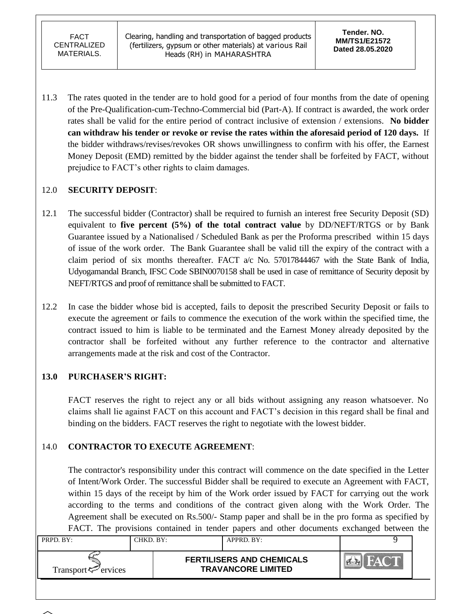11.3 The rates quoted in the tender are to hold good for a period of four months from the date of opening of the Pre-Qualification-cum-Techno-Commercial bid (Part-A). If contract is awarded, the work order rates shall be valid for the entire period of contract inclusive of extension / extensions. **No bidder can withdraw his tender or revoke or revise the rates within the aforesaid period of 120 days.** If the bidder withdraws/revises/revokes OR shows unwillingness to confirm with his offer, the Earnest Money Deposit (EMD) remitted by the bidder against the tender shall be forfeited by FACT, without prejudice to FACT"s other rights to claim damages.

# 12.0 **SECURITY DEPOSIT**:

- 12.1 The successful bidder (Contractor) shall be required to furnish an interest free Security Deposit (SD) equivalent to **five percent (5%) of the total contract value** by DD/NEFT/RTGS or by Bank Guarantee issued by a Nationalised / Scheduled Bank as per the Proforma prescribed within 15 days of issue of the work order. The Bank Guarantee shall be valid till the expiry of the contract with a claim period of six months thereafter. FACT a/c No. 57017844467 with the State Bank of India, Udyogamandal Branch, IFSC Code SBIN0070158 shall be used in case of remittance of Security deposit by NEFT/RTGS and proof of remittance shall be submitted to FACT.
- 12.2 In case the bidder whose bid is accepted, fails to deposit the prescribed Security Deposit or fails to execute the agreement or fails to commence the execution of the work within the specified time, the contract issued to him is liable to be terminated and the Earnest Money already deposited by the contractor shall be forfeited without any further reference to the contractor and alternative arrangements made at the risk and cost of the Contractor.

# **13.0 PURCHASER'S RIGHT:**

FACT reserves the right to reject any or all bids without assigning any reason whatsoever. No claims shall lie against FACT on this account and FACT"s decision in this regard shall be final and binding on the bidders. FACT reserves the right to negotiate with the lowest bidder.

# 14.0 **CONTRACTOR TO EXECUTE AGREEMENT**:

The contractor's responsibility under this contract will commence on the date specified in the Letter of Intent/Work Order. The successful Bidder shall be required to execute an Agreement with FACT, within 15 days of the receipt by him of the Work order issued by FACT for carrying out the work according to the terms and conditions of the contract given along with the Work Order. The Agreement shall be executed on Rs.500/- Stamp paper and shall be in the pro forma as specified by FACT. The provisions contained in tender papers and other documents exchanged between the

| PRPD. BY:                      | CHKD. BY: | APPRD. BY:                                                    |  |
|--------------------------------|-----------|---------------------------------------------------------------|--|
| Transport <sup>7</sup> ervices |           | <b>FERTILISERS AND CHEMICALS</b><br><b>TRAVANCORE LIMITED</b> |  |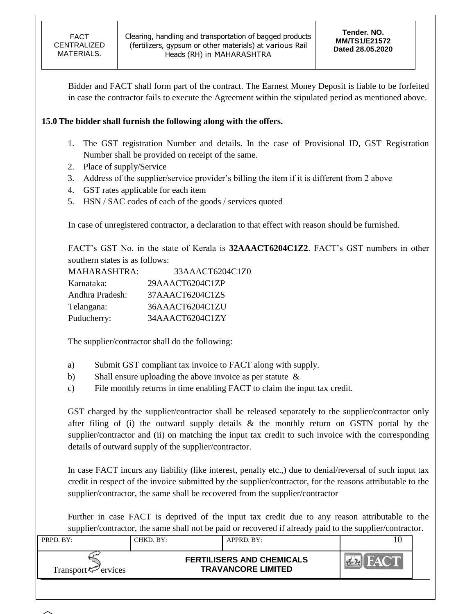Bidder and FACT shall form part of the contract. The Earnest Money Deposit is liable to be forfeited in case the contractor fails to execute the Agreement within the stipulated period as mentioned above.

## **15.0 The bidder shall furnish the following along with the offers.**

- 1. The GST registration Number and details. In the case of Provisional ID, GST Registration Number shall be provided on receipt of the same.
- 2. Place of supply/Service
- 3. Address of the supplier/service provider's billing the item if it is different from 2 above
- 4. GST rates applicable for each item
- 5. HSN / SAC codes of each of the goods / services quoted

In case of unregistered contractor, a declaration to that effect with reason should be furnished.

FACT"s GST No. in the state of Kerala is **32AAACT6204C1Z2**. FACT"s GST numbers in other southern states is as follows:

| <b>MAHARASHTRA:</b> | 33AAACT6204C1Z0 |
|---------------------|-----------------|
| Karnataka:          | 29AAACT6204C1ZP |
| Andhra Pradesh:     | 37AAACT6204C1ZS |
| Telangana:          | 36AAACT6204C1ZU |
| Puducherry:         | 34AAACT6204C1ZY |

The supplier/contractor shall do the following:

- a) Submit GST compliant tax invoice to FACT along with supply.
- b) Shall ensure uploading the above invoice as per statute &
- c) File monthly returns in time enabling FACT to claim the input tax credit.

GST charged by the supplier/contractor shall be released separately to the supplier/contractor only after filing of (i) the outward supply details  $\&$  the monthly return on GSTN portal by the supplier/contractor and (ii) on matching the input tax credit to such invoice with the corresponding details of outward supply of the supplier/contractor.

In case FACT incurs any liability (like interest, penalty etc.,) due to denial/reversal of such input tax credit in respect of the invoice submitted by the supplier/contractor, for the reasons attributable to the supplier/contractor, the same shall be recovered from the supplier/contractor

Further in case FACT is deprived of the input tax credit due to any reason attributable to the supplier/contractor, the same shall not be paid or recovered if already paid to the supplier/contractor.

| <b>FERTILISERS AND CHEMICALS</b><br><b>TRAVANCORE LIMITED</b><br>Transport <sup><math>\leq</math></sup> ervices | PRPD. BY: | CHKD. BY: | APPRD. BY: |  |
|-----------------------------------------------------------------------------------------------------------------|-----------|-----------|------------|--|
|                                                                                                                 |           |           |            |  |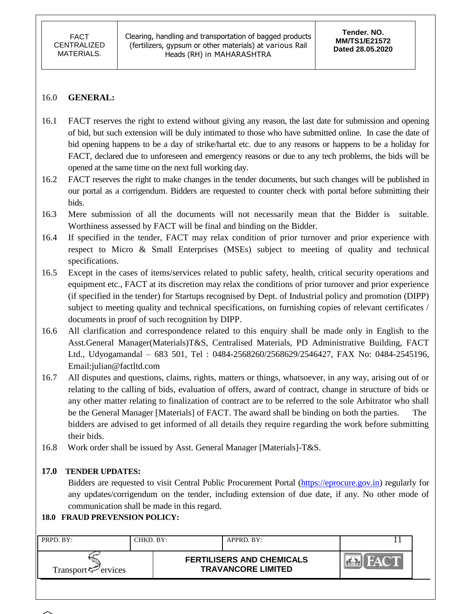### 16.0 **GENERAL:**

- 16.1 FACT reserves the right to extend without giving any reason, the last date for submission and opening of bid, but such extension will be duly intimated to those who have submitted online. In case the date of bid opening happens to be a day of strike/hartal etc. due to any reasons or happens to be a holiday for FACT, declared due to unforeseen and emergency reasons or due to any tech problems, the bids will be opened at the same time on the next full working day.
- 16.2 FACT reserves the right to make changes in the tender documents, but such changes will be published in our portal as a corrigendum. Bidders are requested to counter check with portal before submitting their bids.
- 16.3 Mere submission of all the documents will not necessarily mean that the Bidder is suitable. Worthiness assessed by FACT will be final and binding on the Bidder.
- 16.4 If specified in the tender, FACT may relax condition of prior turnover and prior experience with respect to Micro & Small Enterprises (MSEs) subject to meeting of quality and technical specifications.
- 16.5 Except in the cases of items/services related to public safety, health, critical security operations and equipment etc., FACT at its discretion may relax the conditions of prior turnover and prior experience (if specified in the tender) for Startups recognised by Dept. of Industrial policy and promotion (DIPP) subject to meeting quality and technical specifications, on furnishing copies of relevant certificates / documents in proof of such recognition by DIPP.
- 16.6 All clarification and correspondence related to this enquiry shall be made only in English to the Asst.General Manager(Materials)T&S, Centralised Materials, PD Administrative Building, FACT Ltd., Udyogamandal – 683 501, Tel : 0484-2568260/2568629/2546427, FAX No: 0484-2545196, Email:julian@factltd.com
- 16.7 All disputes and questions, claims, rights, matters or things, whatsoever, in any way, arising out of or relating to the calling of bids, evaluation of offers, award of contract, change in structure of bids or any other matter relating to finalization of contract are to be referred to the sole Arbitrator who shall be the General Manager [Materials] of FACT. The award shall be binding on both the parties. The bidders are advised to get informed of all details they require regarding the work before submitting their bids.
- 16.8 Work order shall be issued by Asst. General Manager [Materials]-T&S.

## **17.0 TENDER UPDATES:**

Bidders are requested to visit Central Public Procurement Portal [\(https://eprocure.gov.in\)](https://eprocure.gov.in/) regularly for any updates/corrigendum on the tender, including extension of due date, if any. No other mode of communication shall be made in this regard.

## **18.0 FRAUD PREVENSION POLICY:**

| PRPD. BY:                   | CHKD. BY: | $APPRD$ . BY:                                                 |  |
|-----------------------------|-----------|---------------------------------------------------------------|--|
| Transport $\approx$ ervices |           | <b>FERTILISERS AND CHEMICALS</b><br><b>TRAVANCORE LIMITED</b> |  |

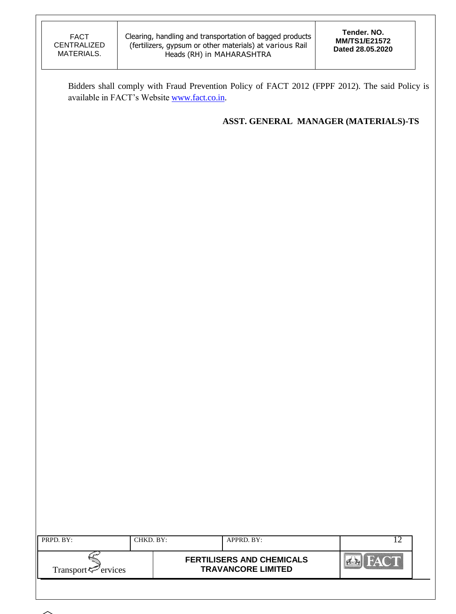Bidders shall comply with Fraud Prevention Policy of FACT 2012 (FPPF 2012). The said Policy is available in FACT's Website [www.fact.co.in.](http://www.fact.co.in/)

**ASST. GENERAL MANAGER (MATERIALS)-TS**

| PRPD. BY:                   | CHKD. BY: | APPRD. BY:                                                    |  |
|-----------------------------|-----------|---------------------------------------------------------------|--|
| Transport $\approx$ ervices |           | <b>FERTILISERS AND CHEMICALS</b><br><b>TRAVANCORE LIMITED</b> |  |
|                             |           |                                                               |  |

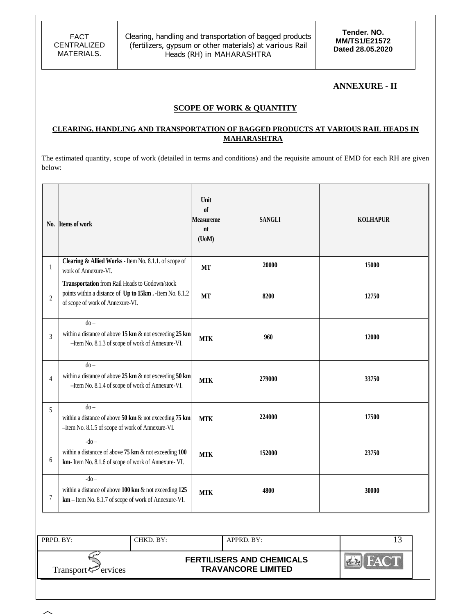### **ANNEXURE - II**

### **SCOPE OF WORK & QUANTITY**

#### **CLEARING, HANDLING AND TRANSPORTATION OF BAGGED PRODUCTS AT VARIOUS RAIL HEADS IN MAHARASHTRA**

The estimated quantity, scope of work (detailed in terms and conditions) and the requisite amount of EMD for each RH are given below:

| N <sub>0</sub> . | <b>Items of work</b>                                                                                                                                     | Unit<br>of<br><b>Measureme</b><br>nt<br>$($ UoM $)$ | <b>SANGLI</b> | <b>KOLHAPUR</b> |
|------------------|----------------------------------------------------------------------------------------------------------------------------------------------------------|-----------------------------------------------------|---------------|-----------------|
| 1                | Clearing & Allied Works - Item No. 8.1.1. of scope of<br>work of Annexure-VI.                                                                            | <b>MT</b>                                           | 20000         | 15000           |
| $\overline{2}$   | Transportation from Rail Heads to Godown/stock<br>points within a distance of Up to 15km. - Item No. 8.1.2<br>of scope of work of Annexure-VI.           | <b>MT</b>                                           | 8200          | 12750           |
| 3                | $d_0 -$<br>within a distance of above $15 \text{ km} \& \text{ not exceeding } 25 \text{ km}$<br>-Item No. 8.1.3 of scope of work of Annexure-VI.        | <b>MTK</b>                                          | 960           | 12000           |
| 4                | $do -$<br>within a distance of above $25 \text{ km} \& \text{ not exceeding } 50 \text{ km}$<br>-Item No. 8.1.4 of scope of work of Annexure-VI.         | <b>MTK</b>                                          | 279000        | 33750           |
| 5                | $\overline{d}$<br>within a distance of above $50 \text{ km} \& \text{ not exceeding } 75 \text{ km}$<br>-Item No. 8.1.5 of scope of work of Annexure-VI. | <b>MTK</b>                                          | 224000        | 17500           |
| 6                | $-do-$<br>within a distance of above $75 \text{ km} \& \text{ not exceeding } 100$<br>km- Item No. 8.1.6 of scope of work of Annexure- VI.               | <b>MTK</b>                                          | 152000        | 23750           |
| 7                | $-do-$<br>within a distance of above $100 \text{ km}$ & not exceeding $125$<br>km – Item No. 8.1.7 of scope of work of Annexure-VI.                      | <b>MTK</b>                                          | 4800          | 30000           |

| PRPD. BY:                | CHKD. BY: |                                                               | APPRD. BY: |  |
|--------------------------|-----------|---------------------------------------------------------------|------------|--|
| Transport $\leq$ ervices |           | <b>FERTILISERS AND CHEMICALS</b><br><b>TRAVANCORE LIMITED</b> |            |  |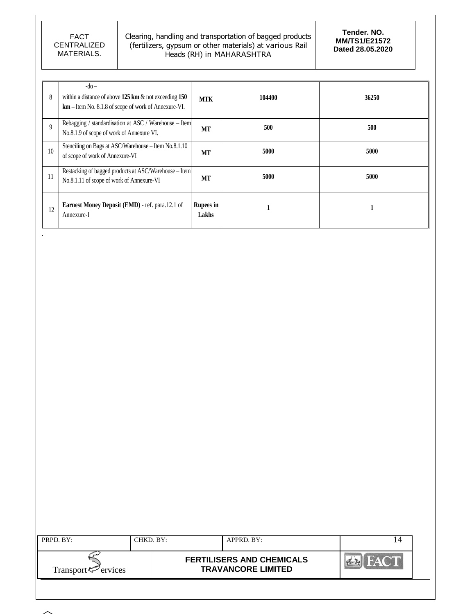.

 $\sim$ 

### Clearing, handling and transportation of bagged products (fertilizers, gypsum or other materials) at various Rail Heads (RH) in MAHARASHTRA

| 8              | $-do-$<br>within a distance of above $125 \text{ km } \& \text{ not exceeding } 150$<br>km – Item No. 8.1.8 of scope of work of Annexure-VI. | <b>MTK</b>                | 104400 | 36250 |
|----------------|----------------------------------------------------------------------------------------------------------------------------------------------|---------------------------|--------|-------|
| $\overline{9}$ | Rebagging / standardisation at ASC / Warehouse - Item<br>No.8.1.9 of scope of work of Annexure VI.                                           | MT                        | 500    | 500   |
| 10             | Stenciling on Bags at ASC/Warehouse - Item No.8.1.10<br>of scope of work of Annexure-VI                                                      | MT                        | 5000   | 5000  |
| 11             | Restacking of bagged products at ASC/Warehouse - Item<br>No.8.1.11 of scope of work of Annexure-VI                                           | МT                        | 5000   | 5000  |
| 12             | Earnest Money Deposit (EMD) - ref. para.12.1 of<br>Annexure-I                                                                                | <b>Rupees in</b><br>Lakhs |        |       |

| PRPD. BY:                | CHKD. BY: | APPRD. BY:                                                    |  |
|--------------------------|-----------|---------------------------------------------------------------|--|
| Transport $\leq$ ervices |           | <b>FERTILISERS AND CHEMICALS</b><br><b>TRAVANCORE LIMITED</b> |  |
|                          |           |                                                               |  |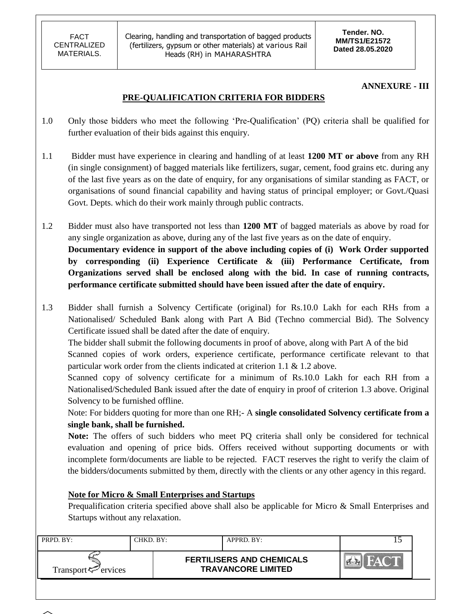**Tender. NO. MM/TS1/E21572 Dated 28.05.2020**

### **ANNEXURE - III**

## **PRE-QUALIFICATION CRITERIA FOR BIDDERS**

- 1.0 Only those bidders who meet the following "Pre-Qualification" (PQ) criteria shall be qualified for further evaluation of their bids against this enquiry.
- 1.1 Bidder must have experience in clearing and handling of at least **1200 MT or above** from any RH (in single consignment) of bagged materials like fertilizers, sugar, cement, food grains etc. during any of the last five years as on the date of enquiry, for any organisations of similar standing as FACT, or organisations of sound financial capability and having status of principal employer; or Govt./Quasi Govt. Depts. which do their work mainly through public contracts.

1.2 Bidder must also have transported not less than **1200 MT** of bagged materials as above by road for any single organization as above, during any of the last five years as on the date of enquiry. **Documentary evidence in support of the above including copies of (i) Work Order supported by corresponding (ii) Experience Certificate & (iii) Performance Certificate, from Organizations served shall be enclosed along with the bid. In case of running contracts, performance certificate submitted should have been issued after the date of enquiry.**

1.3 Bidder shall furnish a Solvency Certificate (original) for Rs.10.0 Lakh for each RHs from a Nationalised/ Scheduled Bank along with Part A Bid (Techno commercial Bid). The Solvency Certificate issued shall be dated after the date of enquiry.

The bidder shall submit the following documents in proof of above, along with Part A of the bid Scanned copies of work orders, experience certificate, performance certificate relevant to that particular work order from the clients indicated at criterion 1.1 & 1.2 above.

Scanned copy of solvency certificate for a minimum of Rs.10.0 Lakh for each RH from a Nationalised/Scheduled Bank issued after the date of enquiry in proof of criterion 1.3 above. Original Solvency to be furnished offline.

Note: For bidders quoting for more than one RH;- A **single consolidated Solvency certificate from a single bank, shall be furnished.** 

**Note:** The offers of such bidders who meet PQ criteria shall only be considered for technical evaluation and opening of price bids. Offers received without supporting documents or with incomplete form/documents are liable to be rejected. FACT reserves the right to verify the claim of the bidders/documents submitted by them, directly with the clients or any other agency in this regard.

## **Note for Micro & Small Enterprises and Startups**

Prequalification criteria specified above shall also be applicable for Micro & Small Enterprises and Startups without any relaxation.

| PRPD. BY:                   | CHKD. BY:- | APPRD. BY:                                                    |  |
|-----------------------------|------------|---------------------------------------------------------------|--|
| Transport $\approx$ ervices |            | <b>FERTILISERS AND CHEMICALS</b><br><b>TRAVANCORE LIMITED</b> |  |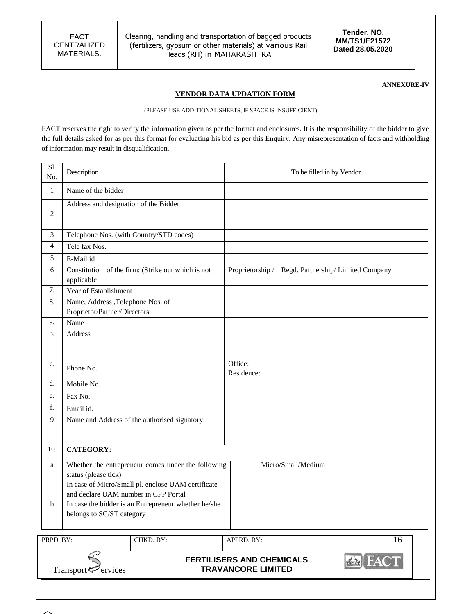**Tender. NO. MM/TS1/E21572 Dated 28.05.2020**

#### **ANNEXURE-IV**

### **VENDOR DATA UPDATION FORM**

(PLEASE USE ADDITIONAL SHEETS, IF SPACE IS INSUFFICIENT)

FACT reserves the right to verify the information given as per the format and enclosures. It is the responsibility of the bidder to give the full details asked for as per this format for evaluating his bid as per this Enquiry. Any misrepresentation of facts and withholding of information may result in disqualification.

| Sl.<br>No.       | Description                                                                                                        |                                                    | To be filled in by Vendor                                     |                |
|------------------|--------------------------------------------------------------------------------------------------------------------|----------------------------------------------------|---------------------------------------------------------------|----------------|
| $\mathbf{1}$     | Name of the bidder                                                                                                 |                                                    |                                                               |                |
| $\boldsymbol{2}$ | Address and designation of the Bidder                                                                              |                                                    |                                                               |                |
| $\mathfrak{Z}$   | Telephone Nos. (with Country/STD codes)                                                                            |                                                    |                                                               |                |
| $\overline{4}$   | Tele fax Nos.                                                                                                      |                                                    |                                                               |                |
| 5                | E-Mail id                                                                                                          |                                                    |                                                               |                |
| 6                | Constitution of the firm: (Strike out which is not<br>applicable                                                   |                                                    | Proprietorship / Regd. Partnership/ Limited Company           |                |
| 7.               | Year of Establishment                                                                                              |                                                    |                                                               |                |
| 8.               | Name, Address ,Telephone Nos. of<br>Proprietor/Partner/Directors                                                   |                                                    |                                                               |                |
| a.               | Name                                                                                                               |                                                    |                                                               |                |
| b.               | Address                                                                                                            |                                                    |                                                               |                |
| c.               | Phone No.                                                                                                          |                                                    | Office:<br>Residence:                                         |                |
| d.               | Mobile No.                                                                                                         |                                                    |                                                               |                |
| e.               | Fax No.                                                                                                            |                                                    |                                                               |                |
| f.               | Email id.                                                                                                          |                                                    |                                                               |                |
| $\overline{9}$   | Name and Address of the authorised signatory                                                                       |                                                    |                                                               |                |
| 10.              | <b>CATEGORY:</b>                                                                                                   |                                                    |                                                               |                |
| a                | status (please tick)<br>In case of Micro/Small pl. enclose UAM certificate<br>and declare UAM number in CPP Portal | Whether the entrepreneur comes under the following | Micro/Small/Medium                                            |                |
| $\mathbf b$      | In case the bidder is an Entrepreneur whether he/she<br>belongs to SC/ST category                                  |                                                    |                                                               |                |
| PRPD. BY:        |                                                                                                                    | CHKD. BY:                                          | APPRD. BY:                                                    | 16             |
|                  | Transport <sup>5</sup> ervices                                                                                     |                                                    | <b>FERTILISERS AND CHEMICALS</b><br><b>TRAVANCORE LIMITED</b> | <b>EN FACT</b> |
|                  |                                                                                                                    |                                                    |                                                               |                |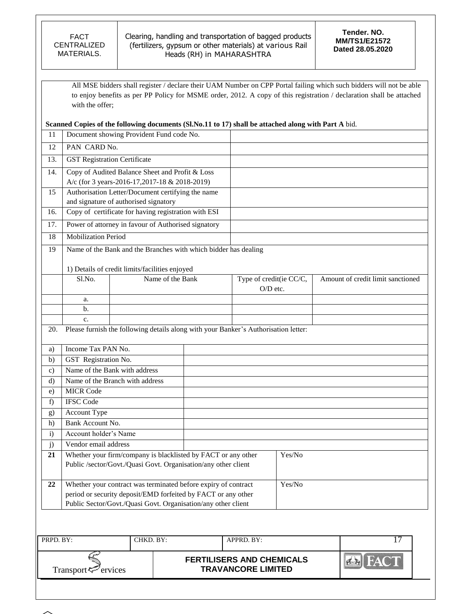All MSE bidders shall register / declare their UAM Number on CPP Portal failing which such bidders will not be able to enjoy benefits as per PP Policy for MSME order, 2012. A copy of this registration / declaration shall be attached with the offer;

**Scanned Copies of the following documents (Sl.No.11 to 17) shall be attached along with Part A** bid.

| 11            |                                                                                            | Document showing Provident Fund code No.                                                                                        |  |                                                                                     |                                   |
|---------------|--------------------------------------------------------------------------------------------|---------------------------------------------------------------------------------------------------------------------------------|--|-------------------------------------------------------------------------------------|-----------------------------------|
| 12            | PAN CARD No.                                                                               |                                                                                                                                 |  |                                                                                     |                                   |
| 13.           | <b>GST Registration Certificate</b>                                                        |                                                                                                                                 |  |                                                                                     |                                   |
| 14.           | Copy of Audited Balance Sheet and Profit & Loss                                            |                                                                                                                                 |  |                                                                                     |                                   |
|               |                                                                                            | A/c (for 3 years-2016-17,2017-18 & 2018-2019)                                                                                   |  |                                                                                     |                                   |
| 15            |                                                                                            |                                                                                                                                 |  |                                                                                     |                                   |
|               | Authorisation Letter/Document certifying the name<br>and signature of authorised signatory |                                                                                                                                 |  |                                                                                     |                                   |
| 16.           |                                                                                            | Copy of certificate for having registration with ESI                                                                            |  |                                                                                     |                                   |
| 17.           |                                                                                            | Power of attorney in favour of Authorised signatory                                                                             |  |                                                                                     |                                   |
| 18            | <b>Mobilization Period</b>                                                                 |                                                                                                                                 |  |                                                                                     |                                   |
| 19            |                                                                                            | Name of the Bank and the Branches with which bidder has dealing                                                                 |  |                                                                                     |                                   |
|               |                                                                                            |                                                                                                                                 |  |                                                                                     |                                   |
|               |                                                                                            | 1) Details of credit limits/facilities enjoyed                                                                                  |  |                                                                                     |                                   |
|               | Sl.No.                                                                                     | Name of the Bank                                                                                                                |  | Type of credit(ie CC/C,                                                             | Amount of credit limit sanctioned |
|               |                                                                                            |                                                                                                                                 |  | O/D etc.                                                                            |                                   |
|               | a.<br>b.                                                                                   |                                                                                                                                 |  |                                                                                     |                                   |
|               | c.                                                                                         |                                                                                                                                 |  |                                                                                     |                                   |
| 20.           |                                                                                            |                                                                                                                                 |  | Please furnish the following details along with your Banker's Authorisation letter: |                                   |
|               |                                                                                            |                                                                                                                                 |  |                                                                                     |                                   |
|               |                                                                                            |                                                                                                                                 |  |                                                                                     |                                   |
| a)            | Income Tax PAN No.                                                                         |                                                                                                                                 |  |                                                                                     |                                   |
| b)            | GST Registration No.                                                                       |                                                                                                                                 |  |                                                                                     |                                   |
| $\mathbf{c})$ |                                                                                            | Name of the Bank with address                                                                                                   |  |                                                                                     |                                   |
| $\rm d$       |                                                                                            | Name of the Branch with address                                                                                                 |  |                                                                                     |                                   |
| e)            | <b>MICR Code</b>                                                                           |                                                                                                                                 |  |                                                                                     |                                   |
| f)            | <b>IFSC</b> Code                                                                           |                                                                                                                                 |  |                                                                                     |                                   |
| g)            | Account Type                                                                               |                                                                                                                                 |  |                                                                                     |                                   |
| h)            | Bank Account No.                                                                           |                                                                                                                                 |  |                                                                                     |                                   |
| $\ddot{i}$    | Account holder's Name                                                                      |                                                                                                                                 |  |                                                                                     |                                   |
| j)            | Vendor email address                                                                       |                                                                                                                                 |  |                                                                                     |                                   |
| 21            |                                                                                            | Whether your firm/company is blacklisted by FACT or any other                                                                   |  | Yes/No                                                                              |                                   |
|               |                                                                                            | Public /sector/Govt./Quasi Govt. Organisation/any other client                                                                  |  |                                                                                     |                                   |
| 22            |                                                                                            |                                                                                                                                 |  | Yes/No                                                                              |                                   |
|               |                                                                                            | Whether your contract was terminated before expiry of contract<br>period or security deposit/EMD forfeited by FACT or any other |  |                                                                                     |                                   |

| PRPD. BY:                       | °HKD. BY∶ | APPRD. BY:                                                    |     |
|---------------------------------|-----------|---------------------------------------------------------------|-----|
| Transport <sup>ry</sup> ervices |           | <b>FERTILISERS AND CHEMICALS</b><br><b>TRAVANCORE LIMITED</b> | m/A |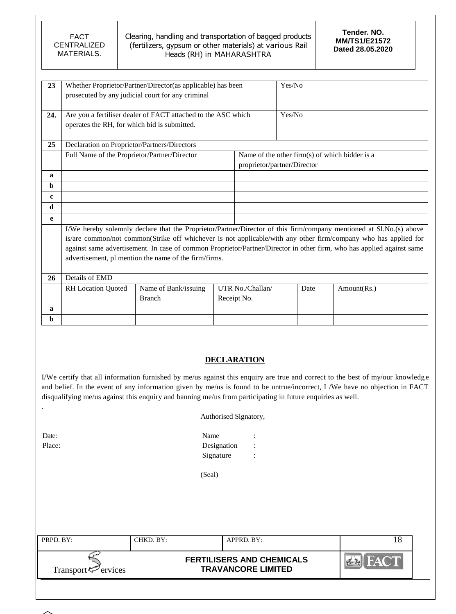| FACT        |
|-------------|
| CENTRALIZED |
| MATERIALS.  |

| 23  |                                              | Whether Proprietor/Partner/Director(as applicable) has been   |  |                  | Yes/No                                         |                                                                                                                       |
|-----|----------------------------------------------|---------------------------------------------------------------|--|------------------|------------------------------------------------|-----------------------------------------------------------------------------------------------------------------------|
|     |                                              | prosecuted by any judicial court for any criminal             |  |                  |                                                |                                                                                                                       |
|     |                                              |                                                               |  |                  |                                                |                                                                                                                       |
| 24. |                                              | Are you a fertiliser dealer of FACT attached to the ASC which |  |                  | Yes/No                                         |                                                                                                                       |
|     |                                              |                                                               |  |                  |                                                |                                                                                                                       |
|     | operates the RH, for which bid is submitted. |                                                               |  |                  |                                                |                                                                                                                       |
|     |                                              |                                                               |  |                  |                                                |                                                                                                                       |
| 25  | Declaration on Proprietor/Partners/Directors |                                                               |  |                  |                                                |                                                                                                                       |
|     | Full Name of the Proprietor/Partner/Director |                                                               |  |                  | Name of the other firm(s) of which bidder is a |                                                                                                                       |
|     |                                              |                                                               |  |                  | proprietor/partner/Director                    |                                                                                                                       |
| a   |                                              |                                                               |  |                  |                                                |                                                                                                                       |
| b   |                                              |                                                               |  |                  |                                                |                                                                                                                       |
| c   |                                              |                                                               |  |                  |                                                |                                                                                                                       |
| d   |                                              |                                                               |  |                  |                                                |                                                                                                                       |
| e   |                                              |                                                               |  |                  |                                                |                                                                                                                       |
|     |                                              |                                                               |  |                  |                                                |                                                                                                                       |
|     |                                              |                                                               |  |                  |                                                | I/We hereby solemnly declare that the Proprietor/Partner/Director of this firm/company mentioned at Sl.No.(s) above   |
|     |                                              |                                                               |  |                  |                                                | is/are common/not common(Strike off whichever is not applicable/with any other firm/company who has applied for       |
|     |                                              |                                                               |  |                  |                                                | against same advertisement. In case of common Proprietor/Partner/Director in other firm, who has applied against same |
|     |                                              | advertisement, pl mention the name of the firm/firms.         |  |                  |                                                |                                                                                                                       |
|     |                                              |                                                               |  |                  |                                                |                                                                                                                       |
| 26  | Details of EMD                               |                                                               |  |                  |                                                |                                                                                                                       |
|     | <b>RH</b> Location Quoted                    | Name of Bank/issuing                                          |  | UTR No./Challan/ | Date                                           | Amount(Rs.)                                                                                                           |
|     |                                              | <b>Branch</b>                                                 |  | Receipt No.      |                                                |                                                                                                                       |
| a   |                                              |                                                               |  |                  |                                                |                                                                                                                       |
| b   |                                              |                                                               |  |                  |                                                |                                                                                                                       |
|     |                                              |                                                               |  |                  |                                                |                                                                                                                       |

### **DECLARATION**

I/We certify that all information furnished by me/us against this enquiry are true and correct to the best of my/our knowledg e and belief. In the event of any information given by me/us is found to be untrue/incorrect, I /We have no objection in FACT disqualifying me/us against this enquiry and banning me/us from participating in future enquiries as well.

| Authorised Signatory, |  |  |
|-----------------------|--|--|
|-----------------------|--|--|

Date: Name : Name : Name : Name : Name : Name : Name : Name : Name : Name : Name : Name : Name : Name : Name :  $\mathbb{R}$ Place: Designation : Signature :

(Seal)

| PRPD. BY:                   | CHKD. BY: | APPRD. BY:                                                    | Ιŏ |
|-----------------------------|-----------|---------------------------------------------------------------|----|
| Transport $\approx$ ervices |           | <b>FERTILISERS AND CHEMICALS</b><br><b>TRAVANCORE LIMITED</b> |    |
|                             |           |                                                               |    |



.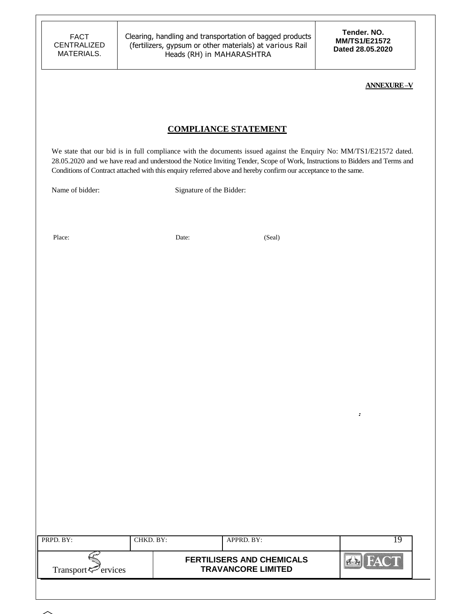**Tender. NO. MM/TS1/E21572 Dated 28.05.2020**

**.**

#### **ANNEXURE –V**

### **COMPLIANCE STATEMENT**

We state that our bid is in full compliance with the documents issued against the Enquiry No: MM/TS1/E21572 dated. 28.05.2020 and we have read and understood the Notice Inviting Tender, Scope of Work, Instructions to Bidders and Terms and Conditions of Contract attached with this enquiry referred above and hereby confirm our acceptance to the same.

Name of bidder: Signature of the Bidder:

Place: Date: Date: (Seal)

| PRPD. BY:                   | CHKD. BY: | APPRD. BY:                                                    | 19 |  |
|-----------------------------|-----------|---------------------------------------------------------------|----|--|
| Transport $\approx$ ervices |           | <b>FERTILISERS AND CHEMICALS</b><br><b>TRAVANCORE LIMITED</b> |    |  |
|                             |           |                                                               |    |  |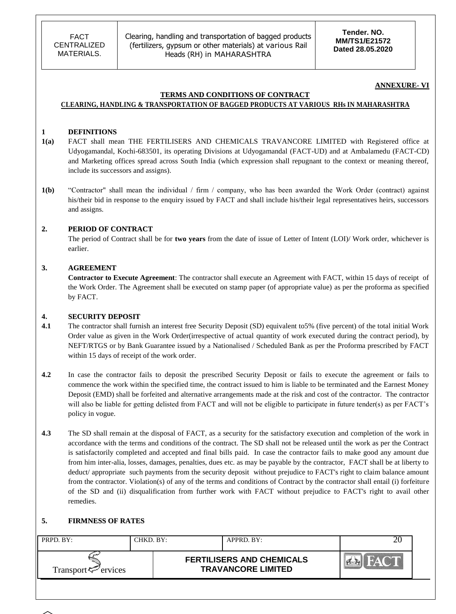**Tender. NO. MM/TS1/E21572 Dated 28.05.2020**

#### **ANNEXURE- VI**

#### **TERMS AND CONDITIONS OF CONTRACT CLEARING, HANDLING & TRANSPORTATION OF BAGGED PRODUCTS AT VARIOUS RHs IN MAHARASHTRA**

#### **1 DEFINITIONS**

- **1(a)** FACT shall mean THE FERTILISERS AND CHEMICALS TRAVANCORE LIMITED with Registered office at Udyogamandal, Kochi-683501, its operating Divisions at Udyogamandal (FACT-UD) and at Ambalamedu (FACT-CD) and Marketing offices spread across South India (which expression shall repugnant to the context or meaning thereof, include its successors and assigns).
- **1(b)** "Contractor" shall mean the individual / firm / company, who has been awarded the Work Order (contract) against his/their bid in response to the enquiry issued by FACT and shall include his/their legal representatives heirs, successors and assigns.

#### **2. PERIOD OF CONTRACT**

The period of Contract shall be for **two years** from the date of issue of Letter of Intent (LOI)/ Work order, whichever is earlier.

#### **3. AGREEMENT**

**Contractor to Execute Agreement**: The contractor shall execute an Agreement with FACT, within 15 days of receipt of the Work Order. The Agreement shall be executed on stamp paper (of appropriate value) as per the proforma as specified by FACT.

#### **4. SECURITY DEPOSIT**

- **4.1** The contractor shall furnish an interest free Security Deposit (SD) equivalent to5% (five percent) of the total initial Work Order value as given in the Work Order(irrespective of actual quantity of work executed during the contract period), by NEFT/RTGS or by Bank Guarantee issued by a Nationalised / Scheduled Bank as per the Proforma prescribed by FACT within 15 days of receipt of the work order.
- **4.2** In case the contractor fails to deposit the prescribed Security Deposit or fails to execute the agreement or fails to commence the work within the specified time, the contract issued to him is liable to be terminated and the Earnest Money Deposit (EMD) shall be forfeited and alternative arrangements made at the risk and cost of the contractor. The contractor will also be liable for getting delisted from FACT and will not be eligible to participate in future tender(s) as per FACT's policy in vogue.
- **4.3** The SD shall remain at the disposal of FACT, as a security for the satisfactory execution and completion of the work in accordance with the terms and conditions of the contract. The SD shall not be released until the work as per the Contract is satisfactorily completed and accepted and final bills paid. In case the contractor fails to make good any amount due from him inter-alia, losses, damages, penalties, dues etc. as may be payable by the contractor, FACT shall be at liberty to deduct/ appropriate such payments from the security deposit without prejudice to FACT's right to claim balance amount from the contractor. Violation(s) of any of the terms and conditions of Contract by the contractor shall entail (i) forfeiture of the SD and (ii) disqualification from further work with FACT without prejudice to FACT's right to avail other remedies.

#### **5. FIRMNESS OF RATES**

| PRPD. BY:                                      | CHKD. BY: | APPRD. BY:                                                    | ΖU |
|------------------------------------------------|-----------|---------------------------------------------------------------|----|
| Transport <sup><math>\leq</math></sup> ervices |           | <b>FERTILISERS AND CHEMICALS</b><br><b>TRAVANCORE LIMITED</b> |    |
|                                                |           |                                                               |    |

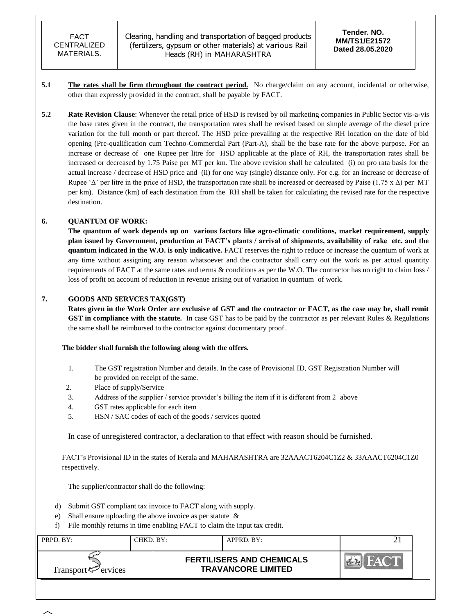- **5.1 The rates shall be firm throughout the contract period.** No charge/claim on any account, incidental or otherwise, other than expressly provided in the contract, shall be payable by FACT.
- **5.2 Rate Revision Clause**: Whenever the retail price of HSD is revised by oil marketing companies in Public Sector vis-a-vis the base rates given in the contract, the transportation rates shall be revised based on simple average of the diesel price variation for the full month or part thereof. The HSD price prevailing at the respective RH location on the date of bid opening (Pre-qualification cum Techno-Commercial Part (Part-A), shall be the base rate for the above purpose. For an increase or decrease of one Rupee per litre for HSD applicable at the place of RH, the transportation rates shall be increased or decreased by 1.75 Paise per MT per km. The above revision shall be calculated (i) on pro rata basis for the actual increase / decrease of HSD price and (ii) for one way (single) distance only. For e.g. for an increase or decrease of Rupee ' $\Delta$ ' per litre in the price of HSD, the transportation rate shall be increased or decreased by Paise (1.75 x  $\Delta$ ) per MT per km). Distance (km) of each destination from the RH shall be taken for calculating the revised rate for the respective destination.

### **6. QUANTUM OF WORK:**

**The quantum of work depends up on various factors like agro-climatic conditions, market requirement, supply plan issued by Government, production at FACT's plants / arrival of shipments, availability of rake etc. and the quantum indicated in the W.O. is only indicative.** FACT reserves the right to reduce or increase the quantum of work at any time without assigning any reason whatsoever and the contractor shall carry out the work as per actual quantity requirements of FACT at the same rates and terms & conditions as per the W.O. The contractor has no right to claim loss / loss of profit on account of reduction in revenue arising out of variation in quantum of work.

#### **7. GOODS AND SERVCES TAX(GST)**

**Rates given in the Work Order are exclusive of GST and the contractor or FACT, as the case may be, shall remit GST in compliance with the statute.** In case GST has to be paid by the contractor as per relevant Rules & Regulations the same shall be reimbursed to the contractor against documentary proof.

#### **The bidder shall furnish the following along with the offers.**

- 1. The GST registration Number and details. In the case of Provisional ID, GST Registration Number will be provided on receipt of the same.
- 2. Place of supply/Service
- 3. Address of the supplier / service provider"s billing the item if it is different from 2 above
- 4. GST rates applicable for each item
- 5. HSN / SAC codes of each of the goods / services quoted

In case of unregistered contractor, a declaration to that effect with reason should be furnished.

FACT's Provisional ID in the states of Kerala and MAHARASHTRA are 32AAACT6204C1Z2 & 33AAACT6204C1Z0 respectively.

The supplier/contractor shall do the following:

- d) Submit GST compliant tax invoice to FACT along with supply.
- e) Shall ensure uploading the above invoice as per statute &
- f) File monthly returns in time enabling FACT to claim the input tax credit.

| PRPD. BY:                | CHKD. BY: | $APPRD$ . BY:                                                 | ∼ |
|--------------------------|-----------|---------------------------------------------------------------|---|
| Transport $\leq$ ervices |           | <b>FERTILISERS AND CHEMICALS</b><br><b>TRAVANCORE LIMITED</b> |   |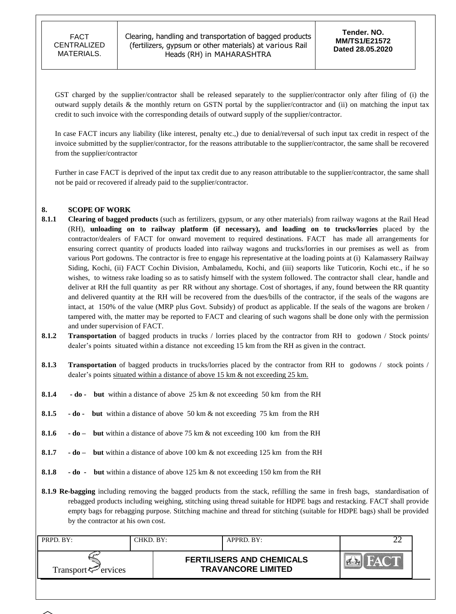Clearing, handling and transportation of bagged products (fertilizers, gypsum or other materials) at various Rail Heads (RH) in MAHARASHTRA

GST charged by the supplier/contractor shall be released separately to the supplier/contractor only after filing of (i) the outward supply details & the monthly return on GSTN portal by the supplier/contractor and (ii) on matching the input tax credit to such invoice with the corresponding details of outward supply of the supplier/contractor.

In case FACT incurs any liability (like interest, penalty etc.,) due to denial/reversal of such input tax credit in respect of the invoice submitted by the supplier/contractor, for the reasons attributable to the supplier/contractor, the same shall be recovered from the supplier/contractor

Further in case FACT is deprived of the input tax credit due to any reason attributable to the supplier/contractor, the same shall not be paid or recovered if already paid to the supplier/contractor.

### **8. SCOPE OF WORK**

- **8.1.1 Clearing of bagged products** (such as fertilizers, gypsum, or any other materials) from railway wagons at the Rail Head (RH), **unloading on to railway platform (if necessary), and loading on to trucks/lorries** placed by the contractor/dealers of FACT for onward movement to required destinations. FACT has made all arrangements for ensuring correct quantity of products loaded into railway wagons and trucks/lorries in our premises as well as from various Port godowns. The contractor is free to engage his representative at the loading points at (i) Kalamassery Railway Siding, Kochi, (ii) FACT Cochin Division, Ambalamedu, Kochi, and (iii) seaports like Tuticorin, Kochi etc., if he so wishes, to witness rake loading so as to satisfy himself with the system followed. The contractor shall clear, handle and deliver at RH the full quantity as per RR without any shortage. Cost of shortages, if any, found between the RR quantity and delivered quantity at the RH will be recovered from the dues/bills of the contractor, if the seals of the wagons are intact, at 150% of the value (MRP plus Govt. Subsidy) of product as applicable. If the seals of the wagons are broken / tampered with, the matter may be reported to FACT and clearing of such wagons shall be done only with the permission and under supervision of FACT.
- **8.1.2 Transportation** of bagged products in trucks / lorries placed by the contractor from RH to godown / Stock points/ dealer's points situated within a distance not exceeding 15 km from the RH as given in the contract.
- **8.1.3 Transportation** of bagged products in trucks/lorries placed by the contractor from RH to godowns / stock points / dealer's points situated within a distance of above 15 km & not exceeding 25 km.
- **8.1.4 - do but** within a distance of above 25 km & not exceeding 50 km from the RH
- **8.1.5 - do but** within a distance of above 50 km & not exceeding 75 km from the RH
- **8.1.6 - do but** within a distance of above 75 km & not exceeding 100 km from the RH
- **8.1.7 - do but** within a distance of above 100 km & not exceeding 125 km from the RH
- **8.1.8 - do but** within a distance of above 125 km & not exceeding 150 km from the RH
- **8.1.9 Re-bagging** including removing the bagged products from the stack, refilling the same in fresh bags, standardisation of rebagged products including weighing, stitching using thread suitable for HDPE bags and restacking. FACT shall provide empty bags for rebagging purpose. Stitching machine and thread for stitching (suitable for HDPE bags) shall be provided by the contractor at his own cost.

| PRPD. BY:                      | CHKD. BY: | APPRD. BY:                                                    |  |
|--------------------------------|-----------|---------------------------------------------------------------|--|
| Transport <sup>7</sup> ervices |           | <b>FERTILISERS AND CHEMICALS</b><br><b>TRAVANCORE LIMITED</b> |  |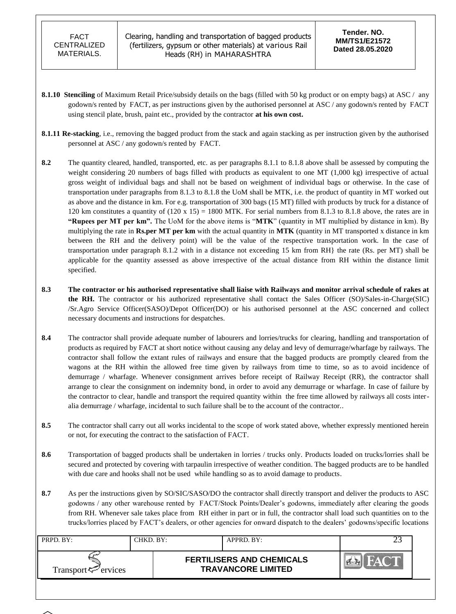- **8.1.10** Stenciling of Maximum Retail Price/subsidy details on the bags (filled with 50 kg product or on empty bags) at ASC / any godown/s rented by FACT, as per instructions given by the authorised personnel at ASC / any godown/s rented by FACT using stencil plate, brush, paint etc., provided by the contractor **at his own cost.**
- **8.1.11 Re-stacking**, i.e., removing the bagged product from the stack and again stacking as per instruction given by the authorised personnel at ASC / any godown/s rented by FACT.
- **8.2** The quantity cleared, handled, transported, etc. as per paragraphs 8.1.1 to 8.1.8 above shall be assessed by computing the weight considering 20 numbers of bags filled with products as equivalent to one MT (1,000 kg) irrespective of actual gross weight of individual bags and shall not be based on weighment of individual bags or otherwise. In the case of transportation under paragraphs from 8.1.3 to 8.1.8 the UoM shall be MTK, i.e. the product of quantity in MT worked out as above and the distance in km. For e.g. transportation of 300 bags (15 MT) filled with products by truck for a distance of 120 km constitutes a quantity of  $(120 \times 15) = 1800$  MTK. For serial numbers from 8.1.3 to 8.1.8 above, the rates are in **"Rupees per MT per km".** The UoM for the above items is "**MTK**" (quantity in MT multiplied by distance in km). By multiplying the rate in **Rs.per MT per km** with the actual quantity in **MTK** (quantity in MT transported x distance in km between the RH and the delivery point) will be the value of the respective transportation work. In the case of transportation under paragraph 8.1.2 with in a distance not exceeding 15 km from RH} the rate (Rs. per MT) shall be applicable for the quantity assessed as above irrespective of the actual distance from RH within the distance limit specified.
- **8.3 The contractor or his authorised representative shall liaise with Railways and monitor arrival schedule of rakes at the RH.** The contractor or his authorized representative shall contact the Sales Officer (SO)/Sales-in-Charge(SIC) /Sr.Agro Service Officer(SASO)/Depot Officer(DO) or his authorised personnel at the ASC concerned and collect necessary documents and instructions for despatches.
- **8.4** The contractor shall provide adequate number of labourers and lorries/trucks for clearing, handling and transportation of products as required by FACT at short notice without causing any delay and levy of demurrage/wharfage by railways. The contractor shall follow the extant rules of railways and ensure that the bagged products are promptly cleared from the wagons at the RH within the allowed free time given by railways from time to time, so as to avoid incidence of demurrage / wharfage. Whenever consignment arrives before receipt of Railway Receipt (RR), the contractor shall arrange to clear the consignment on indemnity bond, in order to avoid any demurrage or wharfage. In case of failure by the contractor to clear, handle and transport the required quantity within the free time allowed by railways all costs interalia demurrage / wharfage, incidental to such failure shall be to the account of the contractor..
- **8.5** The contractor shall carry out all works incidental to the scope of work stated above, whether expressly mentioned herein or not, for executing the contract to the satisfaction of FACT.
- **8.6** Transportation of bagged products shall be undertaken in lorries / trucks only. Products loaded on trucks/lorries shall be secured and protected by covering with tarpaulin irrespective of weather condition. The bagged products are to be handled with due care and hooks shall not be used while handling so as to avoid damage to products.
- 8.7 As per the instructions given by SO/SIC/SASO/DO the contractor shall directly transport and deliver the products to ASC godowns / any other warehouse rented by FACT/Stock Points/Dealer"s godowns, immediately after clearing the goods from RH. Whenever sale takes place from RH either in part or in full, the contractor shall load such quantities on to the trucks/lorries placed by FACT"s dealers, or other agencies for onward dispatch to the dealers" godowns/specific locations

| <b>FERTILISERS AND CHEMICALS</b> | CHKD. BY:-<br>PRPD. BY:     | $APPRD$ $BY:$             |
|----------------------------------|-----------------------------|---------------------------|
|                                  | Transport $\approx$ ervices | <b>TRAVANCORE LIMITED</b> |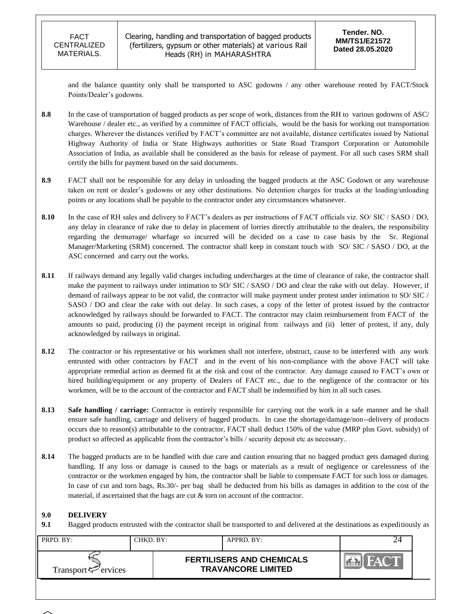and the balance quantity only shall be transported to ASC godowns / any other warehouse rented by FACT/Stock Points/Dealer's godowns.

- **8.8** In the case of transportation of bagged products as per scope of work, distances from the RH to various godowns of ASC/ Warehouse / dealer etc., as verified by a committee of FACT officials, would be the basis for working out transportation charges. Wherever the distances verified by FACT"s committee are not available, distance certificates issued by National Highway Authority of India or State Highways authorities or State Road Transport Corporation or Automobile Association of India, as available shall be considered as the basis for release of payment. For all such cases SRM shall certify the bills for payment based on the said documents.
- **8.9** FACT shall not be responsible for any delay in unloading the bagged products at the ASC Godown or any warehouse taken on rent or dealer"s godowns or any other destinations. No detention charges for trucks at the loading/unloading points or any locations shall be payable to the contractor under any circumstances whatsoever.
- 8.10 In the case of RH sales and delivery to FACT's dealers as per instructions of FACT officials viz. SO/ SIC / SASO / DO, any delay in clearance of rake due to delay in placement of lorries directly attributable to the dealers, the responsibility regarding the demurrage/ wharfage so incurred will be decided on a case to case basis by the Sr. Regional Manager/Marketing (SRM) concerned. The contractor shall keep in constant touch with SO/ SIC / SASO / DO, at the ASC concerned and carry out the works.
- **8.11** If railways demand any legally valid charges including undercharges at the time of clearance of rake, the contractor shall make the payment to railways under intimation to SO/ SIC / SASO / DO and clear the rake with out delay. However, if demand of railways appear to be not valid, the contractor will make payment under protest under intimation to SO/ SIC / SASO / DO and clear the rake with out delay. In such cases, a copy of the letter of protest issued by the contractor acknowledged by railways should be forwarded to FACT. The contractor may claim reimbursement from FACT of the amounts so paid, producing (i) the payment receipt in original from railways and (ii) letter of protest, if any, duly acknowledged by railways in original.
- **8.12** The contractor or his representative or his workmen shall not interfere, obstruct, cause to be interfered with any work entrusted with other contractors by FACT and in the event of his non-compliance with the above FACT will take appropriate remedial action as deemed fit at the risk and cost of the contractor. Any damage caused to FACT"s own or hired building/equipment or any property of Dealers of FACT etc., due to the negligence of the contractor or his workmen, will be to the account of the contractor and FACT shall be indemnified by him in all such cases.
- **8.13 Safe handling / carriage:** Contractor is entirely responsible for carrying out the work in a safe manner and he shall ensure safe handling, carriage and delivery of bagged products. In case the shortage/damage/non--delivery of products occurs due to reason(s) attributable to the contractor, FACT shall deduct 150% of the value (MRP plus Govt. subsidy) of product so affected as applicable from the contractor's bills / security deposit etc as necessary..
- **8.14** The bagged products are to be handled with due care and caution ensuring that no bagged product gets damaged during handling. If any loss or damage is caused to the bags or materials as a result of negligence or carelessness of the contractor or the workmen engaged by him, the contractor shall be liable to compensate FACT for such loss or damages. In case of cut and torn bags, Rs.30/- per bag shall be deducted from his bills as damages in addition to the cost of the material, if ascertained that the bags are cut & torn on account of the contractor.

### **9.0 DELIVERY**

**9.1** Bagged products entrusted with the contractor shall be transported to and delivered at the destinations as expeditiously as

| PRPD. BY:                      | CHKD. BY:- | APPRD. BY:                                                    |  |  |
|--------------------------------|------------|---------------------------------------------------------------|--|--|
| Transport <sup>7</sup> ervices |            | <b>FERTILISERS AND CHEMICALS</b><br><b>TRAVANCORE LIMITED</b> |  |  |
|                                |            |                                                               |  |  |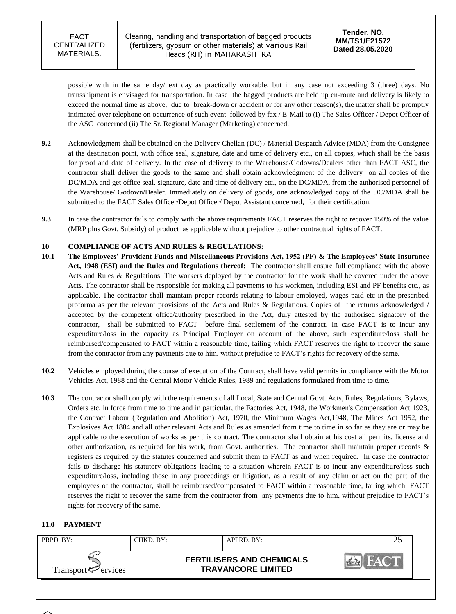Clearing, handling and transportation of bagged products (fertilizers, gypsum or other materials) at various Rail Heads (RH) in MAHARASHTRA

possible with in the same day/next day as practically workable, but in any case not exceeding 3 (three) days. No transshipment is envisaged for transportation. In case the bagged products are held up en-route and delivery is likely to exceed the normal time as above, due to break-down or accident or for any other reason(s), the matter shall be promptly intimated over telephone on occurrence of such event followed by fax / E-Mail to (i) The Sales Officer / Depot Officer of the ASC concerned (ii) The Sr. Regional Manager (Marketing) concerned.

- **9.2** Acknowledgment shall be obtained on the Delivery Chellan (DC) / Material Despatch Advice (MDA) from the Consignee at the destination point, with office seal, signature, date and time of delivery etc., on all copies, which shall be the basis for proof and date of delivery. In the case of delivery to the Warehouse/Godowns/Dealers other than FACT ASC, the contractor shall deliver the goods to the same and shall obtain acknowledgment of the delivery on all copies of the DC/MDA and get office seal, signature, date and time of delivery etc., on the DC/MDA, from the authorised personnel of the Warehouse/ Godown/Dealer. Immediately on delivery of goods, one acknowledged copy of the DC/MDA shall be submitted to the FACT Sales Officer/Depot Officer/ Depot Assistant concerned, for their certification.
- **9.3** In case the contractor fails to comply with the above requirements FACT reserves the right to recover 150% of the value (MRP plus Govt. Subsidy) of product as applicable without prejudice to other contractual rights of FACT.

### **10 COMPLIANCE OF ACTS AND RULES & REGULATIONS:**

- **10.1 The Employees' Provident Funds and Miscellaneous Provisions Act, 1952 (PF) & The Employees' State Insurance Act, 1948 (ESI) and the Rules and Regulations thereof:** The contractor shall ensure full compliance with the above Acts and Rules & Regulations. The workers deployed by the contractor for the work shall be covered under the above Acts. The contractor shall be responsible for making all payments to his workmen, including ESI and PF benefits etc., as applicable. The contractor shall maintain proper records relating to labour employed, wages paid etc in the prescribed proforma as per the relevant provisions of the Acts and Rules & Regulations. Copies of the returns acknowledged / accepted by the competent office/authority prescribed in the Act, duly attested by the authorised signatory of the contractor, shall be submitted to FACT before final settlement of the contract. In case FACT is to incur any expenditure/loss in the capacity as Principal Employer on account of the above, such expenditure/loss shall be reimbursed/compensated to FACT within a reasonable time, failing which FACT reserves the right to recover the same from the contractor from any payments due to him, without prejudice to FACT"s rights for recovery of the same.
- **10.2** Vehicles employed during the course of execution of the Contract, shall have valid permits in compliance with the Motor Vehicles Act, 1988 and the Central Motor Vehicle Rules, 1989 and regulations formulated from time to time.
- **10.3** The contractor shall comply with the requirements of all Local, State and Central Govt. Acts, Rules, Regulations, Bylaws, Orders etc, in force from time to time and in particular, the Factories Act, 1948, the Workmen's Compensation Act 1923, the Contract Labour (Regulation and Abolition) Act, 1970, the Minimum Wages Act,1948, The Mines Act 1952, the Explosives Act 1884 and all other relevant Acts and Rules as amended from time to time in so far as they are or may be applicable to the execution of works as per this contract. The contractor shall obtain at his cost all permits, license and other authorization, as required for his work, from Govt. authorities. The contractor shall maintain proper records & registers as required by the statutes concerned and submit them to FACT as and when required. In case the contractor fails to discharge his statutory obligations leading to a situation wherein FACT is to incur any expenditure/loss such expenditure/loss, including those in any proceedings or litigation, as a result of any claim or act on the part of the employees of the contractor, shall be reimbursed/compensated to FACT within a reasonable time, failing which FACT reserves the right to recover the same from the contractor from any payments due to him, without prejudice to FACT"s rights for recovery of the same.

### **11.0 PAYMENT**

| PRPD. BY:                      | CHKD. BY: | APPRD. BY:                                                    |  |  |
|--------------------------------|-----------|---------------------------------------------------------------|--|--|
| Transport <sup>7</sup> ervices |           | <b>FERTILISERS AND CHEMICALS</b><br><b>TRAVANCORE LIMITED</b> |  |  |
|                                |           |                                                               |  |  |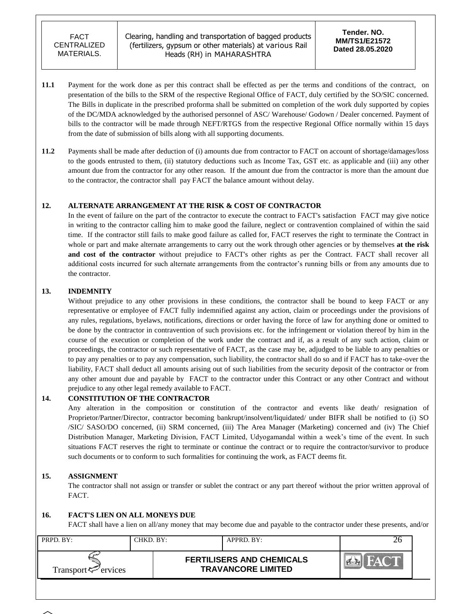Clearing, handling and transportation of bagged products (fertilizers, gypsum or other materials) at various Rail Heads (RH) in MAHARASHTRA

- **11.1** Payment for the work done as per this contract shall be effected as per the terms and conditions of the contract, on presentation of the bills to the SRM of the respective Regional Office of FACT, duly certified by the SO/SIC concerned. The Bills in duplicate in the prescribed proforma shall be submitted on completion of the work duly supported by copies of the DC/MDA acknowledged by the authorised personnel of ASC/ Warehouse/ Godown / Dealer concerned. Payment of bills to the contractor will be made through NEFT/RTGS from the respective Regional Office normally within 15 days from the date of submission of bills along with all supporting documents.
- **11.2** Payments shall be made after deduction of (i) amounts due from contractor to FACT on account of shortage/damages/loss to the goods entrusted to them, (ii) statutory deductions such as Income Tax, GST etc. as applicable and (iii) any other amount due from the contractor for any other reason. If the amount due from the contractor is more than the amount due to the contractor, the contractor shall pay FACT the balance amount without delay.

### **12. ALTERNATE ARRANGEMENT AT THE RISK & COST OF CONTRACTOR**

In the event of failure on the part of the contractor to execute the contract to FACT's satisfaction FACT may give notice in writing to the contractor calling him to make good the failure, neglect or contravention complained of within the said time. If the contractor still fails to make good failure as called for, FACT reserves the right to terminate the Contract in whole or part and make alternate arrangements to carry out the work through other agencies or by themselves **at the risk and cost of the contractor** without prejudice to FACT's other rights as per the Contract. FACT shall recover all additional costs incurred for such alternate arrangements from the contractor's running bills or from any amounts due to the contractor.

### **13. INDEMNITY**

Without prejudice to any other provisions in these conditions, the contractor shall be bound to keep FACT or any representative or employee of FACT fully indemnified against any action, claim or proceedings under the provisions of any rules, regulations, byelaws, notifications, directions or order having the force of law for anything done or omitted to be done by the contractor in contravention of such provisions etc. for the infringement or violation thereof by him in the course of the execution or completion of the work under the contract and if, as a result of any such action, claim or proceedings, the contractor or such representative of FACT, as the case may be, adjudged to be liable to any penalties or to pay any penalties or to pay any compensation, such liability, the contractor shall do so and if FACT has to take-over the liability, FACT shall deduct all amounts arising out of such liabilities from the security deposit of the contractor or from any other amount due and payable by FACT to the contractor under this Contract or any other Contract and without prejudice to any other legal remedy available to FACT.

### **14. CONSTITUTION OF THE CONTRACTOR**

Any alteration in the composition or constitution of the contractor and events like death/ resignation of Proprietor/Partner/Director, contractor becoming bankrupt/insolvent/liquidated/ under BIFR shall be notified to (i) SO /SIC/ SASO/DO concerned, (ii) SRM concerned, (iii) The Area Manager (Marketing) concerned and (iv) The Chief Distribution Manager, Marketing Division, FACT Limited, Udyogamandal within a week"s time of the event. In such situations FACT reserves the right to terminate or continue the contract or to require the contractor/survivor to produce such documents or to conform to such formalities for continuing the work, as FACT deems fit.

### **15. ASSIGNMENT**

The contractor shall not assign or transfer or sublet the contract or any part thereof without the prior written approval of FACT.

### **16. FACT'S LIEN ON ALL MONEYS DUE**

FACT shall have a lien on all/any money that may become due and payable to the contractor under these presents, and/or

| PRPD. BY:                                      | $CHKD$ . $BY:$ | APPRD. BY:                                                    |  |
|------------------------------------------------|----------------|---------------------------------------------------------------|--|
| Transport <sup><math>\leq</math></sup> ervices |                | <b>FERTILISERS AND CHEMICALS</b><br><b>TRAVANCORE LIMITED</b> |  |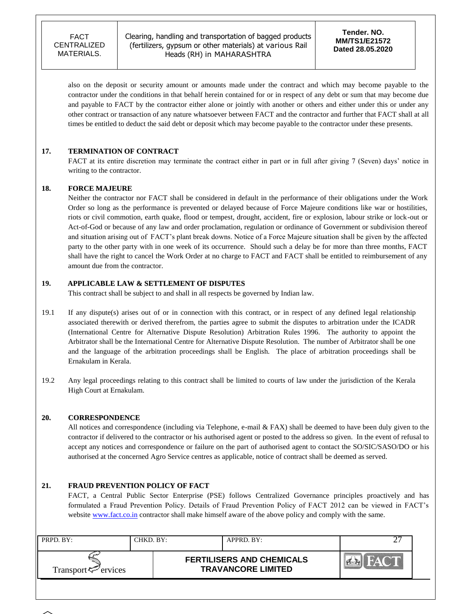Clearing, handling and transportation of bagged products (fertilizers, gypsum or other materials) at various Rail Heads (RH) in MAHARASHTRA

**Tender. NO. MM/TS1/E21572 Dated 28.05.2020**

also on the deposit or security amount or amounts made under the contract and which may become payable to the contractor under the conditions in that behalf herein contained for or in respect of any debt or sum that may become due and payable to FACT by the contractor either alone or jointly with another or others and either under this or under any other contract or transaction of any nature whatsoever between FACT and the contractor and further that FACT shall at all times be entitled to deduct the said debt or deposit which may become payable to the contractor under these presents.

### **17. TERMINATION OF CONTRACT**

FACT at its entire discretion may terminate the contract either in part or in full after giving 7 (Seven) days' notice in writing to the contractor.

#### **18. FORCE MAJEURE**

Neither the contractor nor FACT shall be considered in default in the performance of their obligations under the Work Order so long as the performance is prevented or delayed because of Force Majeure conditions like war or hostilities, riots or civil commotion, earth quake, flood or tempest, drought, accident, fire or explosion, labour strike or lock-out or Act-of-God or because of any law and order proclamation, regulation or ordinance of Government or subdivision thereof and situation arising out of FACT"s plant break downs. Notice of a Force Majeure situation shall be given by the affected party to the other party with in one week of its occurrence. Should such a delay be for more than three months, FACT shall have the right to cancel the Work Order at no charge to FACT and FACT shall be entitled to reimbursement of any amount due from the contractor.

#### **19. APPLICABLE LAW & SETTLEMENT OF DISPUTES**

This contract shall be subject to and shall in all respects be governed by Indian law.

- 19.1 If any dispute(s) arises out of or in connection with this contract, or in respect of any defined legal relationship associated therewith or derived therefrom, the parties agree to submit the disputes to arbitration under the ICADR (International Centre for Alternative Dispute Resolution) Arbitration Rules 1996. The authority to appoint the Arbitrator shall be the International Centre for Alternative Dispute Resolution. The number of Arbitrator shall be one and the language of the arbitration proceedings shall be English. The place of arbitration proceedings shall be Ernakulam in Kerala.
- 19.2 Any legal proceedings relating to this contract shall be limited to courts of law under the jurisdiction of the Kerala High Court at Ernakulam.

#### **20. CORRESPONDENCE**

All notices and correspondence (including via Telephone, e-mail & FAX) shall be deemed to have been duly given to the contractor if delivered to the contractor or his authorised agent or posted to the address so given. In the event of refusal to accept any notices and correspondence or failure on the part of authorised agent to contact the SO/SIC/SASO/DO or his authorised at the concerned Agro Service centres as applicable, notice of contract shall be deemed as served.

### **21. FRAUD PREVENTION POLICY OF FACT**

FACT, a Central Public Sector Enterprise (PSE) follows Centralized Governance principles proactively and has formulated a Fraud Prevention Policy. Details of Fraud Prevention Policy of FACT 2012 can be viewed in FACT"s website [www.fact.co.in](http://www.fact.co.in/) contractor shall make himself aware of the above policy and comply with the same.

| PRPD. BY:                   | CHKD. BY: | $APPRD$ . BY:                                                 |  |
|-----------------------------|-----------|---------------------------------------------------------------|--|
| Transport $\varphi$ ervices |           | <b>FERTILISERS AND CHEMICALS</b><br><b>TRAVANCORE LIMITED</b> |  |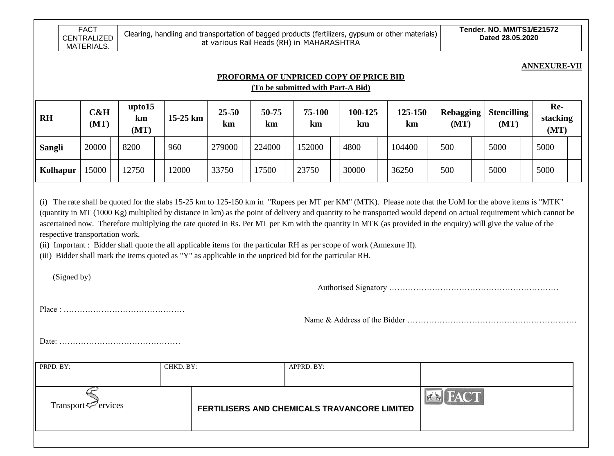**ANNEXURE-VII**

# **PROFORMA OF UNPRICED COPY OF PRICE BID**

**(To be submitted with Part-A Bid)**

| <b>RH</b>     | <b>C&amp;H</b><br>(MT) | upto15<br>km<br>(MT) | $15-25$ km | $25 - 50$<br>km | 50-75<br>km | 75-100<br>km | 100-125<br>km | 125-150<br>km | <b>Rebagging</b><br>(MT) | <b>Stencilling</b><br>(MT) | Re-<br>stacking<br>(MT) |
|---------------|------------------------|----------------------|------------|-----------------|-------------|--------------|---------------|---------------|--------------------------|----------------------------|-------------------------|
| <b>Sangli</b> | 20000                  | 8200                 | 960        | 279000          | 224000      | 152000       | 4800          | 104400        | 500                      | 5000                       | 5000                    |
| Kolhapur      | 15000                  | 12750                | 12000      | 33750           | '7500       | 23750        | 30000         | 36250         | 500                      | 5000                       | 5000                    |

(i) The rate shall be quoted for the slabs 15-25 km to 125-150 km in "Rupees per MT per KM" (MTK). Please note that the UoM for the above items is "MTK" (quantity in MT (1000 Kg) multiplied by distance in km) as the point of delivery and quantity to be transported would depend on actual requirement which cannot be ascertained now. Therefore multiplying the rate quoted in Rs. Per MT per Km with the quantity in MTK (as provided in the enquiry) will give the value of the respective transportation work.

(ii) Important : Bidder shall quote the all applicable items for the particular RH as per scope of work (Annexure II).

(iii) Bidder shall mark the items quoted as "Y" as applicable in the unpriced bid for the particular RH.

(Signed by)

Authorised Signatory ………………………………………………………

Place : ………………………………………

Name & Address of the Bidder ………………………………………………………

Date: ………………………………………

| Transport $\mathcal{F}$ ervices<br>FERTILISERS AND CHEMICALS TRAVANCORE LIMITED | PRPD. BY: | CHKD. BY: | APPRD. BY: |             |
|---------------------------------------------------------------------------------|-----------|-----------|------------|-------------|
|                                                                                 |           |           |            | $\Delta$ CT |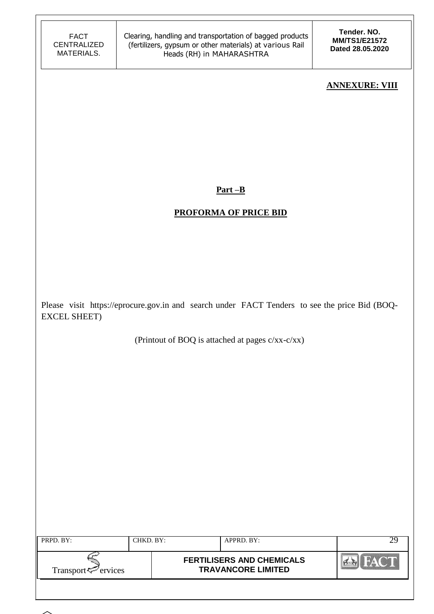**Tender. NO. MM/TS1/E21572 Dated 28.05.2020**

### **ANNEXURE: VIII**

**Part –B**

## **PROFORMA OF PRICE BID**

Please visit https://eprocure.gov.in and search under FACT Tenders to see the price Bid (BOQ-EXCEL SHEET)

(Printout of BOQ is attached at pages c/xx-c/xx)

| PRPD. BY:                | CHKD. BY: | APPRD. BY:                                                    |  |
|--------------------------|-----------|---------------------------------------------------------------|--|
| Transport $\leq$ ervices |           | <b>FERTILISERS AND CHEMICALS</b><br><b>TRAVANCORE LIMITED</b> |  |
|                          |           |                                                               |  |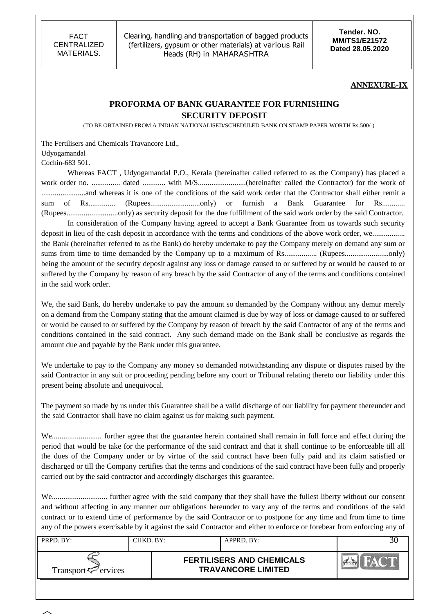Clearing, handling and transportation of bagged products (fertilizers, gypsum or other materials) at various Rail Heads (RH) in MAHARASHTRA

**Tender. NO. MM/TS1/E21572 Dated 28.05.2020**

#### **ANNEXURE-IX**

### **PROFORMA OF BANK GUARANTEE FOR FURNISHING SECURITY DEPOSIT**

(TO BE OBTAINED FROM A INDIAN NATIONALISED/SCHEDULED BANK ON STAMP PAPER WORTH Rs.500/-)

The Fertilisers and Chemicals Travancore Ltd., Udyogamandal Cochin-683 501.

Whereas FACT , Udyogamandal P.O., Kerala (hereinafter called referred to as the Company) has placed a work order no. ............... dated ............ with M/S.........................(hereinafter called the Contractor) for the work of .......................and whereas it is one of the conditions of the said work order that the Contractor shall either remit a sum of Rs.............. (Rupees..........................only) or furnish a Bank Guarantee for Rs............ (Rupees...........................only) as security deposit for the due fulfillment of the said work order by the said Contractor.

In consideration of the Company having agreed to accept a Bank Guarantee from us towards such security deposit in lieu of the cash deposit in accordance with the terms and conditions of the above work order, we.................. the Bank (hereinafter referred to as the Bank) do hereby undertake to pay the Company merely on demand any sum or sums from time to time demanded by the Company up to a maximum of Rs................. (Rupees.......................only) being the amount of the security deposit against any loss or damage caused to or suffered by or would be caused to or suffered by the Company by reason of any breach by the said Contractor of any of the terms and conditions contained in the said work order.

We, the said Bank, do hereby undertake to pay the amount so demanded by the Company without any demur merely on a demand from the Company stating that the amount claimed is due by way of loss or damage caused to or suffered or would be caused to or suffered by the Company by reason of breach by the said Contractor of any of the terms and conditions contained in the said contract. Any such demand made on the Bank shall be conclusive as regards the amount due and payable by the Bank under this guarantee.

We undertake to pay to the Company any money so demanded notwithstanding any dispute or disputes raised by the said Contractor in any suit or proceeding pending before any court or Tribunal relating thereto our liability under this present being absolute and unequivocal.

The payment so made by us under this Guarantee shall be a valid discharge of our liability for payment thereunder and the said Contractor shall have no claim against us for making such payment.

We.......................... further agree that the guarantee herein contained shall remain in full force and effect during the period that would be take for the performance of the said contract and that it shall continue to be enforceable till all the dues of the Company under or by virtue of the said contract have been fully paid and its claim satisfied or discharged or till the Company certifies that the terms and conditions of the said contract have been fully and properly carried out by the said contractor and accordingly discharges this guarantee.

We............................. further agree with the said company that they shall have the fullest liberty without our consent and without affecting in any manner our obligations hereunder to vary any of the terms and conditions of the said contract or to extend time of performance by the said Contractor or to postpone for any time and from time to time any of the powers exercisable by it against the said Contractor and either to enforce or forebear from enforcing any of

| PRPD. BY:                      | CHKD. BY: | $APPRD$ . BY:                                                 | 3U |
|--------------------------------|-----------|---------------------------------------------------------------|----|
| Transport <sup>7</sup> ervices |           | <b>FERTILISERS AND CHEMICALS</b><br><b>TRAVANCORE LIMITED</b> |    |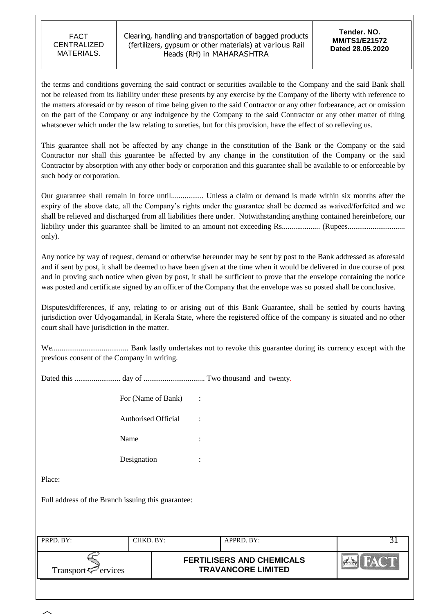Clearing, handling and transportation of bagged products (fertilizers, gypsum or other materials) at various Rail Heads (RH) in MAHARASHTRA

**Tender. NO. MM/TS1/E21572 Dated 28.05.2020**

the terms and conditions governing the said contract or securities available to the Company and the said Bank shall not be released from its liability under these presents by any exercise by the Company of the liberty with reference to the matters aforesaid or by reason of time being given to the said Contractor or any other forbearance, act or omission on the part of the Company or any indulgence by the Company to the said Contractor or any other matter of thing whatsoever which under the law relating to sureties, but for this provision, have the effect of so relieving us.

This guarantee shall not be affected by any change in the constitution of the Bank or the Company or the said Contractor nor shall this guarantee be affected by any change in the constitution of the Company or the said Contractor by absorption with any other body or corporation and this guarantee shall be available to or enforceable by such body or corporation.

Our guarantee shall remain in force until................. Unless a claim or demand is made within six months after the expiry of the above date, all the Company"s rights under the guarantee shall be deemed as waived/forfeited and we shall be relieved and discharged from all liabilities there under. Notwithstanding anything contained hereinbefore, our liability under this guarantee shall be limited to an amount not exceeding Rs.................... (Rupees.............................. only).

Any notice by way of request, demand or otherwise hereunder may be sent by post to the Bank addressed as aforesaid and if sent by post, it shall be deemed to have been given at the time when it would be delivered in due course of post and in proving such notice when given by post, it shall be sufficient to prove that the envelope containing the notice was posted and certificate signed by an officer of the Company that the envelope was so posted shall be conclusive.

Disputes/differences, if any, relating to or arising out of this Bank Guarantee, shall be settled by courts having jurisdiction over Udyogamandal, in Kerala State, where the registered office of the company is situated and no other court shall have jurisdiction in the matter.

We........................................ Bank lastly undertakes not to revoke this guarantee during its currency except with the previous consent of the Company in writing.

Dated this ........................ day of ................................ Two thousand and twenty.

| For (Name of Bank)  |  |
|---------------------|--|
| Authorised Official |  |
| Name                |  |
| Designation         |  |

Place:

Full address of the Branch issuing this guarantee:

| PRPD. BY:                                      | CHKD. BY: | $APPRD$ . BY:                                                 |  |
|------------------------------------------------|-----------|---------------------------------------------------------------|--|
| Transport <sup><math>\leq</math></sup> ervices |           | <b>FERTILISERS AND CHEMICALS</b><br><b>TRAVANCORE LIMITED</b> |  |
|                                                |           |                                                               |  |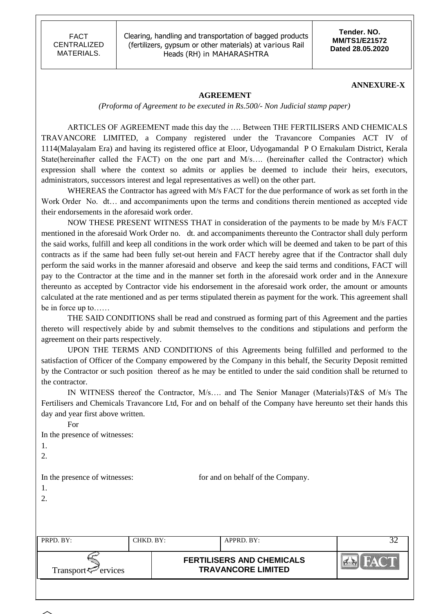Clearing, handling and transportation of bagged products (fertilizers, gypsum or other materials) at various Rail Heads (RH) in MAHARASHTRA

**Tender. NO. MM/TS1/E21572 Dated 28.05.2020**

#### **ANNEXURE-X**

#### **AGREEMENT**

*(Proforma of Agreement to be executed in Rs.500/- Non Judicial stamp paper)*

ARTICLES OF AGREEMENT made this day the …. Between THE FERTILISERS AND CHEMICALS TRAVANCORE LIMITED, a Company registered under the Travancore Companies ACT IV of 1114(Malayalam Era) and having its registered office at Eloor, Udyogamandal P O Ernakulam District, Kerala State(hereinafter called the FACT) on the one part and M/s…. (hereinafter called the Contractor) which expression shall where the context so admits or applies be deemed to include their heirs, executors, administrators, successors interest and legal representatives as well) on the other part.

WHEREAS the Contractor has agreed with M/s FACT for the due performance of work as set forth in the Work Order No. dt… and accompaniments upon the terms and conditions therein mentioned as accepted vide their endorsements in the aforesaid work order.

NOW THESE PRESENT WITNESS THAT in consideration of the payments to be made by M/s FACT mentioned in the aforesaid Work Order no. dt. and accompaniments thereunto the Contractor shall duly perform the said works, fulfill and keep all conditions in the work order which will be deemed and taken to be part of this contracts as if the same had been fully set-out herein and FACT hereby agree that if the Contractor shall duly perform the said works in the manner aforesaid and observe and keep the said terms and conditions, FACT will pay to the Contractor at the time and in the manner set forth in the aforesaid work order and in the Annexure thereunto as accepted by Contractor vide his endorsement in the aforesaid work order, the amount or amounts calculated at the rate mentioned and as per terms stipulated therein as payment for the work. This agreement shall be in force up to……

THE SAID CONDITIONS shall be read and construed as forming part of this Agreement and the parties thereto will respectively abide by and submit themselves to the conditions and stipulations and perform the agreement on their parts respectively.

UPON THE TERMS AND CONDITIONS of this Agreements being fulfilled and performed to the satisfaction of Officer of the Company empowered by the Company in this behalf, the Security Deposit remitted by the Contractor or such position thereof as he may be entitled to under the said condition shall be returned to the contractor.

IN WITNESS thereof the Contractor, M/s…. and The Senior Manager (Materials)T&S of M/s The Fertilisers and Chemicals Travancore Ltd, For and on behalf of the Company have hereunto set their hands this day and year first above written.

For

In the presence of witnesses:

- 1.
- 2.

1. 2.

In the presence of witnesses: for and on behalf of the Company.

| PRPD. BY:                | CHKD. BY: | APPRD. BY:                                                    |  |
|--------------------------|-----------|---------------------------------------------------------------|--|
| Transport $\leq$ ervices |           | <b>FERTILISERS AND CHEMICALS</b><br><b>TRAVANCORE LIMITED</b> |  |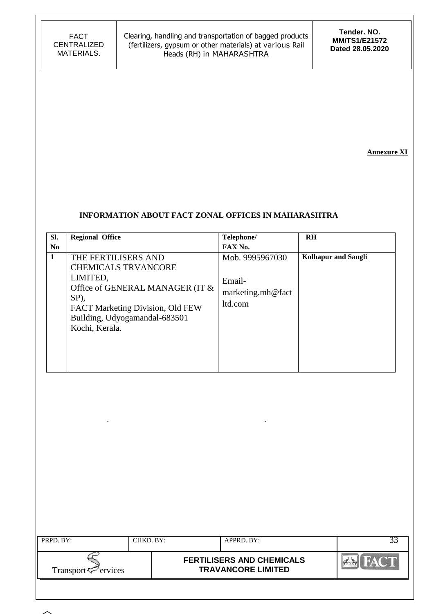**Tender. NO. MM/TS1/E21572 Dated 28.05.2020**

**Annexure XI**

### **INFORMATION ABOUT FACT ZONAL OFFICES IN MAHARASHTRA**

| SI.            | <b>Regional Office</b>                                                                                                                                                                          | Telephone/                                                | <b>RH</b>                  |
|----------------|-------------------------------------------------------------------------------------------------------------------------------------------------------------------------------------------------|-----------------------------------------------------------|----------------------------|
| N <sub>0</sub> |                                                                                                                                                                                                 | FAX No.                                                   |                            |
| $\mathbf{1}$   | THE FERTILISERS AND<br><b>CHEMICALS TRVANCORE</b><br>LIMITED,<br>Office of GENERAL MANAGER (IT &<br>SP),<br>FACT Marketing Division, Old FEW<br>Building, Udyogamandal-683501<br>Kochi, Kerala. | Mob. 9995967030<br>Email-<br>marketing.mh@fact<br>ltd.com | <b>Kolhapur</b> and Sangli |

. .

| PRPD. BY:                      | CHKD, BY: | $APPRD$ . BY:                                                 |  |
|--------------------------------|-----------|---------------------------------------------------------------|--|
| Transport <sup>7</sup> ervices |           | <b>FERTILISERS AND CHEMICALS</b><br><b>TRAVANCORE LIMITED</b> |  |
|                                |           |                                                               |  |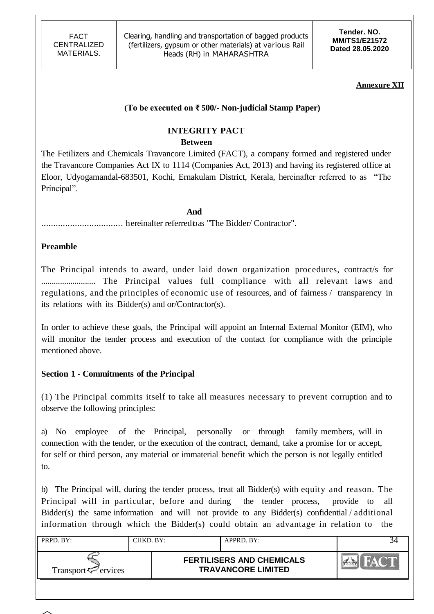**Tender. NO. MM/TS1/E21572 Dated 28.05.2020**

### **Annexure XII**

## **(To be executed on ₹ 500/- Non-judicial Stamp Paper)**

# **INTEGRITY PACT**

### **Between**

The Fetilizers and Chemicals Travancore Limited (FACT), a company formed and registered under the Travancore Companies Act IX to 1114 (Companies Act, 2013) and having its registered office at Eloor, Udyogamandal-683501, Kochi, Ernakulam District, Kerala, hereinafter referred to as "The Principal".

### **And**

.................................. hereinafter referredtoas "The Bidder/ Contractor".

### **Preamble**

The Principal intends to award, under laid down organization procedures, contract/s for .......................... The Principal values full compliance with all relevant laws and regulations, and the principles of economic use of resources, and of fairness / transparency in its relations with its Bidder(s) and or/Contractor(s).

In order to achieve these goals, the Principal will appoint an Internal External Monitor (EIM), who will monitor the tender process and execution of the contact for compliance with the principle mentioned above.

## **Section 1 - Commitments of the Principal**

(1) The Principal commits itself to take all measures necessary to prevent corruption and to observe the following principles:

a) No employee of the Principal, personally or through family members, will in connection with the tender, or the execution of the contract, demand, take a promise for or accept, for self or third person, any material or immaterial benefit which the person is not legally entitled to.

b) The Principal will, during the tender process, treat all Bidder(s) with equity and reason. The Principal will in particular, before and during the tender process, provide to Bidder(s) the same information and will not provide to any Bidder(s) confidential / additional information through which the Bidder(s) could obtain an advantage in relation to the

| PRPD. BY:                      | CHKD. BY: | APPRD. BY:                                                    |          |
|--------------------------------|-----------|---------------------------------------------------------------|----------|
| Transport <sup>7</sup> ervices |           | <b>FERTILISERS AND CHEMICALS</b><br><b>TRAVANCORE LIMITED</b> | $\alpha$ |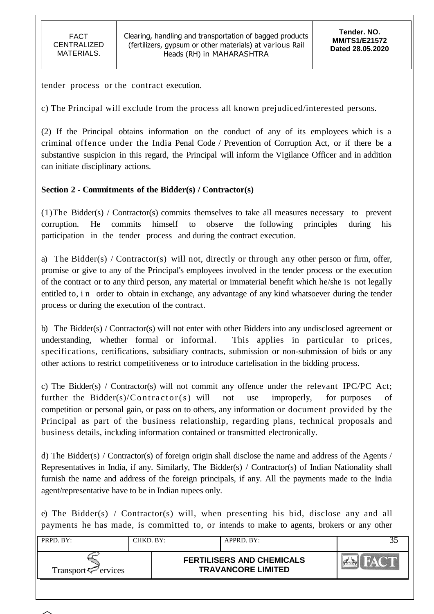tender process or the contract execution.

c) The Principal will exclude from the process all known prejudiced/interested persons.

(2) If the Principal obtains information on the conduct of any of its employees which is a criminal offence under the India Penal Code / Prevention of Corruption Act, or if there be a substantive suspicion in this regard, the Principal will inform the Vigilance Officer and in addition can initiate disciplinary actions.

# **Section 2 - Commitments of the Bidder(s) / Contractor(s)**

(1)The Bidder(s) / Contractor(s) commits themselves to take all measures necessary to prevent corruption. He commits himself to observe the following principles during his participation in the tender process and during the contract execution.

a) The Bidder(s) / Contractor(s) will not, directly or through any other person or firm, offer, promise or give to any of the Principal's employees involved in the tender process or the execution of the contract or to any third person, any material or immaterial benefit which he/she is not legally entitled to, i n order to obtain in exchange, any advantage of any kind whatsoever during the tender process or during the execution of the contract.

b) The Bidder(s) / Contractor(s) will not enter with other Bidders into any undisclosed agreement or understanding, whether formal or informal. This applies in particular to prices, specifications, certifications, subsidiary contracts, submission or non-submission of bids or any other actions to restrict competitiveness or to introduce cartelisation in the bidding process.

c) The Bidder(s) / Contractor(s) will not commit any offence under the relevant IPC/PC Act; further the Bidder(s)/Contractor(s) will not use improperly, for purposes of competition or personal gain, or pass on to others, any information or document provided by the Principal as part of the business relationship, regarding plans, technical proposals and business details, including information contained or transmitted electronically.

d) The Bidder(s) / Contractor(s) of foreign origin shall disclose the name and address of the Agents / Representatives in India, if any. Similarly, The Bidder(s) / Contractor(s) of Indian Nationality shall furnish the name and address of the foreign principals, if any. All the payments made to the India agent/representative have to be in Indian rupees only.

e) The Bidder(s) / Contractor(s) will, when presenting his bid, disclose any and all payments he has made, is committed to, or intends to make to agents, brokers or any other

| PRPD. BY:                      | CHKD. BY: | APPRD. BY:                                                    |  |
|--------------------------------|-----------|---------------------------------------------------------------|--|
| Transport <sup>7</sup> ervices |           | <b>FERTILISERS AND CHEMICALS</b><br><b>TRAVANCORE LIMITED</b> |  |

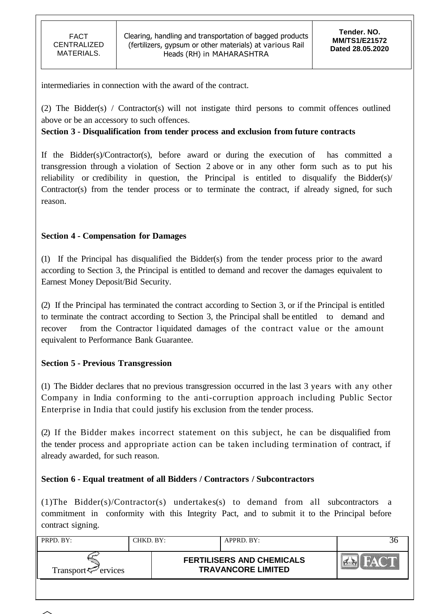intermediaries in connection with the award of the contract.

(2) The Bidder(s) / Contractor(s) will not instigate third persons to commit offences outlined above or be an accessory to such offences.

### **Section 3 - Disqualification from tender process and exclusion from future contracts**

If the Bidder(s)/Contractor(s), before award or during the execution of has committed a transgression through a violation of Section 2 above or in any other form such as to put his reliability or credibility in question, the Principal is entitled to disqualify the Bidder(s)/ Contractor(s) from the tender process or to terminate the contract, if already signed, for such reason.

## **Section 4 - Compensation for Damages**

(1) If the Principal has disqualified the Bidder(s) from the tender process prior to the award according to Section 3, the Principal is entitled to demand and recover the damages equivalent to Earnest Money Deposit/Bid Security.

(2) If the Principal has terminated the contract according to Section 3, or if the Principal is entitled to terminate the contract according to Section 3, the Principal shall be entitled to demand and recover from the Contractor liquidated damages of the contract value or the amount equivalent to Performance Bank Guarantee.

### **Section 5 - Previous Transgression**

(1) The Bidder declares that no previous transgression occurred in the last 3 years with any other Company in India conforming to the anti-corruption approach including Public Sector Enterprise in India that could justify his exclusion from the tender process.

(2) If the Bidder makes incorrect statement on this subject, he can be disqualified from the tender process and appropriate action can be taken including termination of contract, if already awarded, for such reason.

## **Section 6 - Equal treatment of all Bidders / Contractors / Subcontractors**

(1)The Bidder(s)/Contractor(s) undertakes(s) to demand from all subcontractors a commitment in conformity with this Integrity Pact, and to submit it to the Principal before contract signing.

| PRPD. BY:                                        | CHKD. BY: | $APPRD$ . BY:                                                 |  |
|--------------------------------------------------|-----------|---------------------------------------------------------------|--|
| Transport <sup><math>\infty</math></sup> ervices |           | <b>FERTILISERS AND CHEMICALS</b><br><b>TRAVANCORE LIMITED</b> |  |

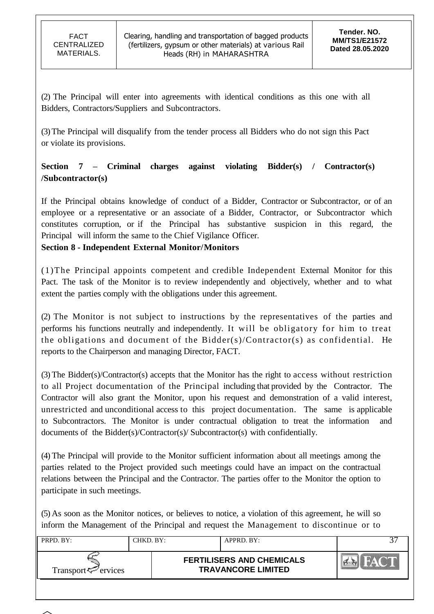(2) The Principal will enter into agreements with identical conditions as this one with all Bidders, Contractors/Suppliers and Subcontractors.

(3)The Principal will disqualify from the tender process all Bidders who do not sign this Pact or violate its provisions.

# **Section 7 – Criminal charges against violating Bidder(s) / Contractor(s) /Subcontractor(s)**

If the Principal obtains knowledge of conduct of a Bidder, Contractor or Subcontractor, or of an employee or a representative or an associate of a Bidder, Contractor, or Subcontractor which constitutes corruption, or if the Principal has substantive suspicion in this regard, the Principal will inform the same to the Chief Vigilance Officer.

# **Section 8 - Independent External Monitor/Monitors**

(1)The Principal appoints competent and credible Independent External Monitor for this Pact. The task of the Monitor is to review independently and objectively, whether and to what extent the parties comply with the obligations under this agreement.

(2) The Monitor is not subject to instructions by the representatives of the parties and performs his functions neutrally and independently. It will be obligatory for him to treat the obligations and document of the Bidder(s)/Contractor(s) as confidential. He reports to the Chairperson and managing Director, FACT.

(3) The Bidder(s)/Contractor(s) accepts that the Monitor has the right to access without restriction to all Project documentation of the Principal including that provided by the Contractor. The Contractor will also grant the Monitor, upon his request and demonstration of a valid interest, unrestricted and unconditional access to this project documentation. The same is applicable to Subcontractors. The Monitor is under contractual obligation to treat the information and documents of the Bidder(s)/Contractor(s)/ Subcontractor(s) with confidentially.

(4) The Principal will provide to the Monitor sufficient information about all meetings among the parties related to the Project provided such meetings could have an impact on the contractual relations between the Principal and the Contractor. The parties offer to the Monitor the option to participate in such meetings.

(5) As soon as the Monitor notices, or believes to notice, a violation of this agreement, he will so inform the Management of the Principal and request the Management to discontinue or to

| PRPD. BY:                      | CHKD. BY: | APPRD. BY:                                                    |  |
|--------------------------------|-----------|---------------------------------------------------------------|--|
| Transport <sup>7</sup> ervices |           | <b>FERTILISERS AND CHEMICALS</b><br><b>TRAVANCORE LIMITED</b> |  |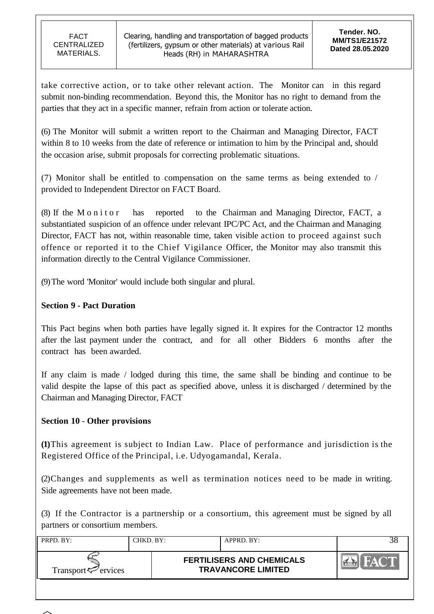take corrective action, or to take other relevant action. The Monitor can in this regard submit non-binding recommendation. Beyond this, the Monitor has no right to demand from the parties that they act in a specific manner, refrain from action or tolerate action.

(6) The Monitor will submit a written report to the Chairman and Managing Director, FACT within 8 to 10 weeks from the date of reference or intimation to him by the Principal and, should the occasion arise, submit proposals for correcting problematic situations.

(7) Monitor shall be entitled to compensation on the same terms as being extended to / provided to Independent Director on FACT Board.

(8) If the M o n i t o r has reported to the Chairman and Managing Director, FACT, a substantiated suspicion of an offence under relevant IPC/PC Act, and the Chairman and Managing Director, FACT has not, within reasonable time, taken visible action to proceed against such offence or reported it to the Chief Vigilance Officer, the Monitor may also transmit this information directly to the Central Vigilance Commissioner.

(9)The word 'Monitor' would include both singular and plural.

# **Section 9 - Pact Duration**

This Pact begins when both parties have legally signed it. It expires for the Contractor 12 months after the last payment under the contract, and for all other Bidders 6 months after the contract has been awarded.

If any claim is made / lodged during this time, the same shall be binding and continue to be valid despite the lapse of this pact as specified above, unless it is discharged / determined by the Chairman and Managing Director, FACT

## **Section 10** - **Other provisions**

**(1)**This agreement is subject to Indian Law. Place of performance and jurisdiction is the Registered Office of the Principal, i.e. Udyogamandal, Kerala.

(2)Changes and supplements as well as termination notices need to be made in writing. Side agreements have not been made.

(3) If the Contractor is a partnership or a consortium, this agreement must be signed by all partners or consortium members.

| PRPD. BY:                      | CHKD. BY: | APPRD. BY:                                                    |  |
|--------------------------------|-----------|---------------------------------------------------------------|--|
| Transport <sup>7</sup> ervices |           | <b>FERTILISERS AND CHEMICALS</b><br><b>TRAVANCORE LIMITED</b> |  |